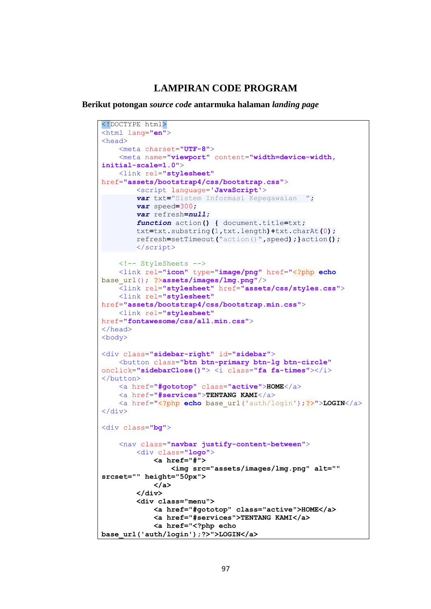## **LAMPIRAN CODE PROGRAM**

**Berikut potongan** *source code* **antarmuka halaman** *landing page*

```
<!DOCTYPE html>
<html lang="en">
<head>
     <meta charset="UTF-8">
     <meta name="viewport" content="width=device-width, 
initial-scale=1.0">
     <link rel="stylesheet"
href="assets/bootstrap4/css/bootstrap.css">
         <script language='JavaScript'>
         var txt="Sistem Informasi Kepegawaian ";
         var speed=300;
         var refresh=null;
         function action() { document.title=txt;
         txt=txt.substring(1,txt.length)+txt.charAt(0);
         refresh=setTimeout("action()",speed);}action();
         </script>
     <!-- StyleSheets -->
     <link rel="icon" type="image/png" href="<?php echo
base_url(); ?>assets/images/lmg.png"/>
     <link rel="stylesheet" href="assets/css/styles.css">
     <link rel="stylesheet"
href="assets/bootstrap4/css/bootstrap.min.css">
     <link rel="stylesheet"
href="fontawesome/css/all.min.css">
</head>
<body>
<div class="sidebar-right" id="sidebar">
     <button class="btn btn-primary btn-lg btn-circle"
onclick="sidebarClose()"> <i class="fa fa-times"></i>
</button>
     <a href="#gototop" class="active">HOME</a>
     <a href="#services">TENTANG KAMI</a>
     <a href="<?php echo base_url('auth/login');?>">LOGIN</a>
\langle div>
<div class="bg">
     <nav class="navbar justify-content-between">
         <div class="logo">
             <a href="#">
                  <img src="assets/images/lmg.png" alt="" 
srcset="" height="50px">
             </a>
         </div>
         <div class="menu">
             <a href="#gototop" class="active">HOME</a>
             <a href="#services">TENTANG KAMI</a>
             <a href="<?php echo 
base_url('auth/login');?>">LOGIN</a>
```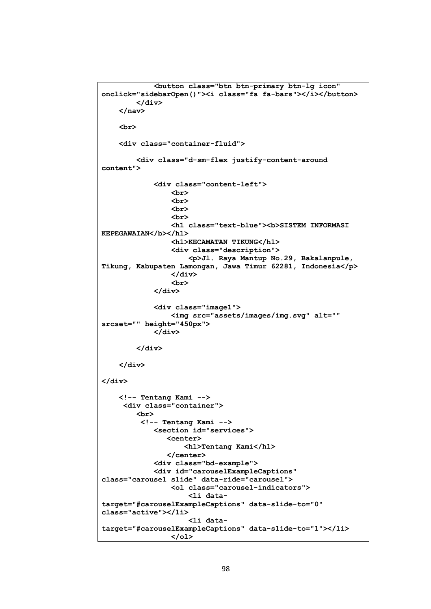```
 <button class="btn btn-primary btn-lg icon" 
onclick="sidebarOpen()"><i class="fa fa-bars"></i></button>
         </div>
     </nav>
     <br>
     <div class="container-fluid">
         <div class="d-sm-flex justify-content-around 
content">
              <div class="content-left">
                  <br>
                  <br>
                  <br>
                  <br>
                  <h1 class="text-blue"><b>SISTEM INFORMASI 
KEPEGAWAIAN</b></h1>
                  <h1>KECAMATAN TIKUNG</h1>
                  <div class="description">
                      <p>Jl. Raya Mantup No.29, Bakalanpule, 
Tikung, Kabupaten Lamongan, Jawa Timur 62281, Indonesia</p>
                  </div>
                  <br>
              </div>
              <div class="image1">
                  <img src="assets/images/img.svg" alt="" 
srcset="" height="450px">
              </div>
         </div>
     </div>
</div>
     <!-- Tentang Kami -->
      <div class="container">
         <br>
           <!-- Tentang Kami -->
             <section id="services">
                 <center>
                     <h1>Tentang Kami</h1>
                 </center>
              <div class="bd-example">
              <div id="carouselExampleCaptions" 
class="carousel slide" data-ride="carousel">
                  <ol class="carousel-indicators">
                      <li data-
target="#carouselExampleCaptions" data-slide-to="0" 
class="active"></li>
                      <li data-
target="#carouselExampleCaptions" data-slide-to="1"></li>
                  </ol>
```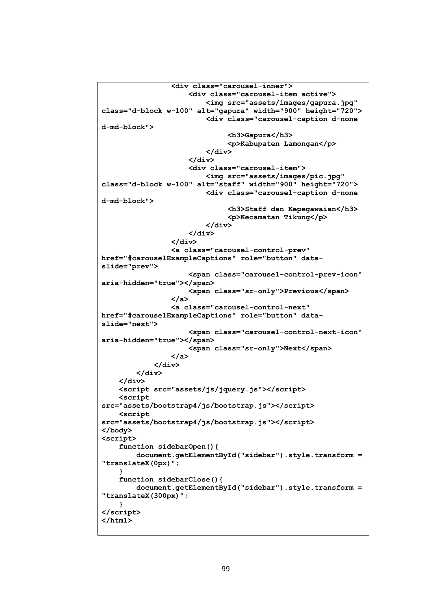```
 <div class="carousel-inner">
                      <div class="carousel-item active">
                          <img src="assets/images/gapura.jpg" 
class="d-block w-100" alt="gapura" width="900" height="720">
                          <div class="carousel-caption d-none 
d-md-block">
                               <h3>Gapura</h3>
                               <p>Kabupaten Lamongan</p>
                          </div>
                      </div>
                     <div class="carousel-item">
                          <img src="assets/images/pic.jpg" 
class="d-block w-100" alt="staff" width="900" height="720">
                          <div class="carousel-caption d-none 
d-md-block">
                               <h3>Staff dan Kepegawaian</h3>
                              <p>Kecamatan Tikung</p>
                          </div>
                      </div>
                  </div>
                  <a class="carousel-control-prev" 
href="#carouselExampleCaptions" role="button" data-
slide="prev">
                      <span class="carousel-control-prev-icon" 
aria-hidden="true"></span>
                      <span class="sr-only">Previous</span>
                  </a>
                  <a class="carousel-control-next" 
href="#carouselExampleCaptions" role="button" data-
slide="next">
                      <span class="carousel-control-next-icon" 
aria-hidden="true"></span>
                      <span class="sr-only">Next</span>
                 </a>
             </div>
         </div>
     </div>
     <script src="assets/js/jquery.js"></script>
     <script 
src="assets/bootstrap4/js/bootstrap.js"></script>
     <script 
src="assets/bootstrap4/js/bootstrap.js"></script>
</body>
<script>
     function sidebarOpen(){
         document.getElementById("sidebar").style.transform = 
"translateX(0px)";
 }
     function sidebarClose(){
         document.getElementById("sidebar").style.transform = 
"translateX(300px)";
 }
</script>
</html>
```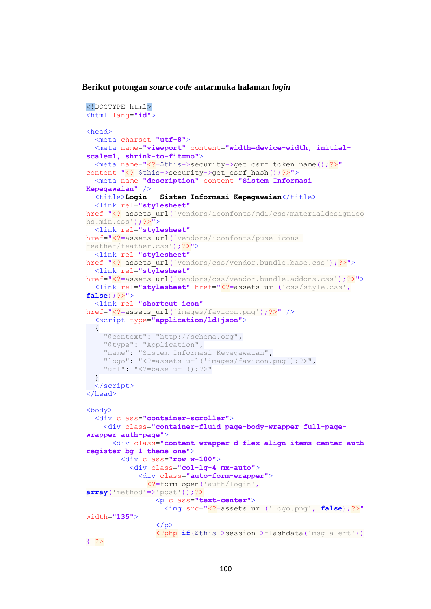**Berikut potongan** *source code* **antarmuka halaman** *login*

```
<!DOCTYPE html>
<html lang="id">
<head>
   <meta charset="utf-8">
   <meta name="viewport" content="width=device-width, initial-
scale=1, shrink-to-fit=no">
   <meta name="<?=$this->security->get_csrf_token_name();?>"
content="<?=$this->security->get_csrf_hash();?>">
   <meta name="description" content="Sistem Informasi 
Kepegawaian" />
   <title>Login - Sistem Informasi Kepegawaian</title>
   <link rel="stylesheet"
href="<?=assets_url('vendors/iconfonts/mdi/css/materialdesignico
ns.min.css');?>">
   <link rel="stylesheet"
href="<?=assets_url('vendors/iconfonts/puse-icons-
feather/feather.css');?>">
   <link rel="stylesheet"
href="<?=assets_url('vendors/css/vendor.bundle.base.css');?>">
   <link rel="stylesheet"
href="<?=assets_url('vendors/css/vendor.bundle.addons.css');?>">
   <link rel="stylesheet" href="<?=assets_url('css/style.css',
false);?>">
   <link rel="shortcut icon"
href="<?=assets_url('images/favicon.png');?>" />
   <script type="application/ld+json">
   {
     "@context": "http://schema.org",
     "@type": "Application",
     "name": "Sistem Informasi Kepegawaian",
     "logo": "<?=assets_url('images/favicon.png');?>",
     "url": "<?=base_url();?>"
   }
   </script>
</head>
<body>
   <div class="container-scroller">
     <div class="container-fluid page-body-wrapper full-page-
wrapper auth-page">
       <div class="content-wrapper d-flex align-items-center auth 
register-bg-1 theme-one">
         <div class="row w-100">
           <div class="col-lg-4 mx-auto">
             <div class="auto-form-wrapper">
               <?=form_open('auth/login',
array('method'=>'post'));?>
                 <p class="text-center">
                    <img src="<?=assets_url('logo.png', false);?>"
width="135">
                \langle/p>
                 <?php if($this->session->flashdata('msg_alert'))
\{ ?>
```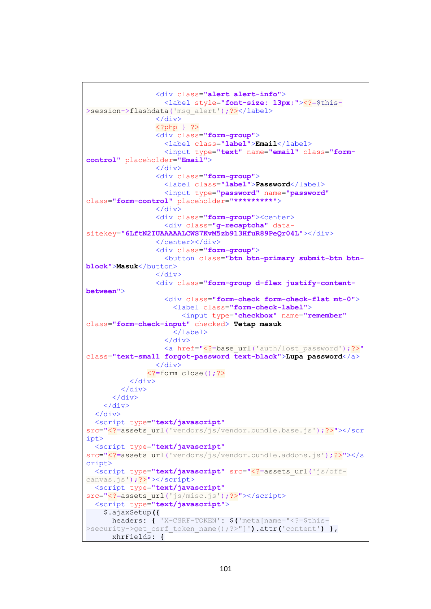```
 <div class="alert alert-info">
                    <label style="font-size: 13px;"><?=$this-
>session->flashdata('msq_alert');?></label>
                  </div>
                  <?php } ?>
                  <div class="form-group">
                    <label class="label">Email</label>
                    <input type="text" name="email" class="form-
control" placeholder="Email">
                  </div>
                  <div class="form-group">
                    <label class="label">Password</label>
                    <input type="password" name="password"
class="form-control" placeholder="*********">
                  </div>
                  <div class="form-group"><center>
                    <div class="g-recaptcha" data-
sitekey="6LftN2IUAAAAALCWS7KvM5zb913HfuR89PeQr04L"></div>
                  </center></div>
                  <div class="form-group">
                    <button class="btn btn-primary submit-btn btn-
block">Masuk</button>
                 \langle/div>
                  <div class="form-group d-flex justify-content-
between">
                    <div class="form-check form-check-flat mt-0">
                      <label class="form-check-label">
                        <input type="checkbox" name="remember"
class="form-check-input" checked> Tetap masuk
                      </label>
                   \langle/div>
                   <a href="<?=base_url('auth/lost_password');?>"
class="text-small forgot-password text-black">Lupa password</a>
                  </div>
                <?=form_close();?>
           </div>
        \langle/div>
       </div>
     </div>
   </div>
   <script type="text/javascript"
src="<?=assets_url('vendors/js/vendor.bundle.base.js');?>"></scr
ipt>
   <script type="text/javascript"
src="<?=assets_url('vendors/js/vendor.bundle.addons.js');?>"></s
cript>
   <script type="text/javascript" src="<?=assets_url('js/off-
canvas.js');?>"></script>
   <script type="text/javascript"
src="<?=assets_url('js/misc.js');?>"></script>
   <script type="text/javascript">
     $.ajaxSetup({
       headers: { 'X-CSRF-TOKEN': $('meta[name="<?=$this-
>security->get_csrf_token_name();?>"]').attr('content') },
       xhrFields: {
```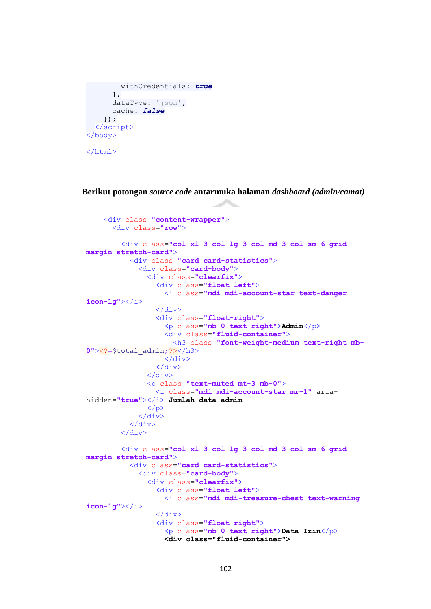```
 withCredentials: true
       },
       dataType: 'json',
       cache: false
     });
   </script>
</body>
</html>
```
**Berikut potongan** *source code* **antarmuka halaman** *dashboard (admin/camat)*

```
 <div class="content-wrapper">
       <div class="row">
         <div class="col-xl-3 col-lg-3 col-md-3 col-sm-6 grid-
margin stretch-card">
           <div class="card card-statistics">
              <div class="card-body">
                <div class="clearfix">
                  <div class="float-left">
                    <i class="mdi mdi-account-star text-danger 
icon-lg"></i>
                 \langle/div>
                  <div class="float-right">
                    <p class="mb-0 text-right">Admin</p>
                    <div class="fluid-container">
                      <h3 class="font-weight-medium text-right mb-
0"><?=$total_admin;?></h3>
                    </div>
                  </div>
                </div>
                <p class="text-muted mt-3 mb-0">
                  <i class="mdi mdi-account-star mr-1" aria-
hidden="true"></i> Jumlah data admin
               \langle/p>
              </div>
           </div>
         </div>
         <div class="col-xl-3 col-lg-3 col-md-3 col-sm-6 grid-
margin stretch-card">
           <div class="card card-statistics">
              <div class="card-body">
                <div class="clearfix">
                  <div class="float-left">
                    <i class="mdi mdi-treasure-chest text-warning 
icon-lg"></i>
                  </div>
                  <div class="float-right">
                    <p class="mb-0 text-right">Data Izin</p>
                    <div class="fluid-container">
```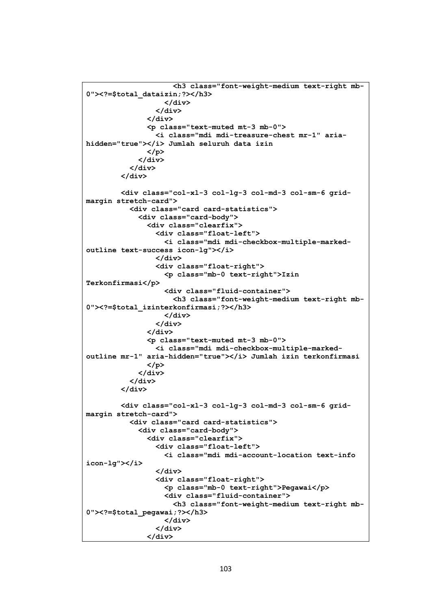```
 <h3 class="font-weight-medium text-right mb-
0"><?=$total_dataizin;?></h3>
                    </div>
                  </div>
                </div>
                <p class="text-muted mt-3 mb-0">
                  <i class="mdi mdi-treasure-chest mr-1" aria-
hidden="true"></i> Jumlah seluruh data izin
                </p>
             </div>
           </div>
         </div>
         <div class="col-xl-3 col-lg-3 col-md-3 col-sm-6 grid-
margin stretch-card">
           <div class="card card-statistics">
             <div class="card-body">
                <div class="clearfix">
                  <div class="float-left">
                    <i class="mdi mdi-checkbox-multiple-marked-
outline text-success icon-lg"></i>
                  </div>
                  <div class="float-right">
                    <p class="mb-0 text-right">Izin 
Terkonfirmasi</p>
                    <div class="fluid-container">
                      <h3 class="font-weight-medium text-right mb-
0"><?=$total_izinterkonfirmasi;?></h3>
                    </div>
                  </div>
                </div>
                <p class="text-muted mt-3 mb-0">
                  <i class="mdi mdi-checkbox-multiple-marked-
outline mr-1" aria-hidden="true"></i> Jumlah izin terkonfirmasi
                </p>
             </div>
           </div>
         </div>
         <div class="col-xl-3 col-lg-3 col-md-3 col-sm-6 grid-
margin stretch-card">
           <div class="card card-statistics">
              <div class="card-body">
                <div class="clearfix">
                  <div class="float-left">
                    <i class="mdi mdi-account-location text-info 
icon-lg"></i>
                  </div>
                  <div class="float-right">
                    <p class="mb-0 text-right">Pegawai</p>
                    <div class="fluid-container">
                      <h3 class="font-weight-medium text-right mb-
0"><?=$total_pegawai;?></h3>
                    </div>
                  </div>
               </div>
```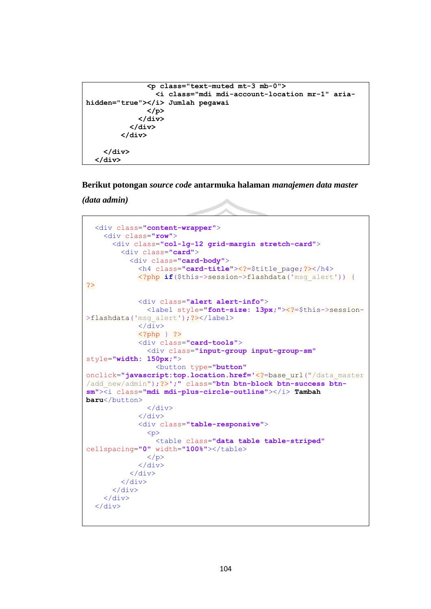```
 <p class="text-muted mt-3 mb-0">
                  <i class="mdi mdi-account-location mr-1" aria-
hidden="true"></i> Jumlah pegawai
                </p>
              </div>
            </div>
         </div>
     </div>
   </div>
```
**Berikut potongan** *source code* **antarmuka halaman** *manajemen data master* 

*(data admin)*

```
 <div class="content-wrapper">
     <div class="row">
       <div class="col-lg-12 grid-margin stretch-card">
         <div class="card">
           <div class="card-body">
             <h4 class="card-title"><?=$title_page;?></h4>
              <?php if($this->session->flashdata('msg_alert')) {
?>
             <div class="alert alert-info">
               <label style="font-size: 13px;"><?=$this->session-
>flashdata('msg_alert');?></label>
              </div>
              <?php } ?>
              <div class="card-tools">
                <div class="input-group input-group-sm"
style="width: 150px;">
                  <button type="button"
onclick="javascript:top.location.href='<?=base_url("/data_master
/add_new/admin");?>';" class="btn btn-block btn-success btn-
sm"><i class="mdi mdi-plus-circle-outline"></i> Tambah 
baru</button>
                </div>
              </div>
              <div class="table-responsive">
               p > <table class="data table table-striped"
cellspacing="0" width="100%"></table>
              \langle/p>
              </div>
           </div>
         </div>
       </div>
     </div>
   </div>
```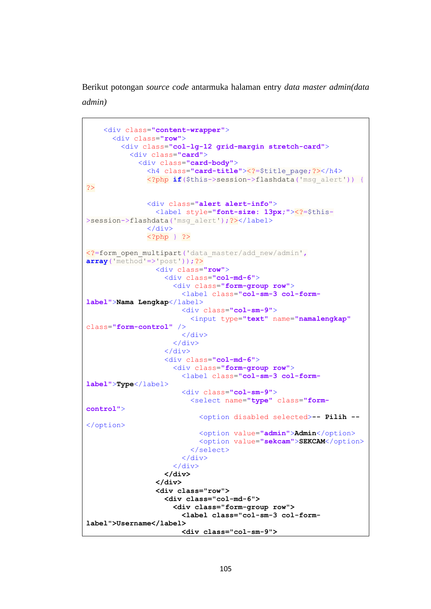Berikut potongan *source code* antarmuka halaman entry *data master admin(data admin)*

```
 <div class="content-wrapper">
       <div class="row">
         <div class="col-lg-12 grid-margin stretch-card">
           <div class="card">
             <div class="card-body">
               <h4 class="card-title"><?=$title_page;?></h4>
               <?php if($this->session->flashdata('msg_alert')) {
?>
               <div class="alert alert-info">
                 <label style="font-size: 13px;"><?=$this-
>session->flashdata('msg_alert');?></label>
              \langle/div>
               <?php } ?>
<?=form_open_multipart('data_master/add_new/admin',
array('method'=>'post'));?>
                 <div class="row">
                    <div class="col-md-6">
                      <div class="form-group row">
                        <label class="col-sm-3 col-form-
label">Nama Lengkap</label>
                        <div class="col-sm-9">
                          <input type="text" name="namalengkap"
class="form-control" />
                       \langle/div>
                      </div>
                   \langle/div>
                   <div class="col-md-6">
                      <div class="form-group row">
                        <label class="col-sm-3 col-form-
label">Type</label>
                        <div class="col-sm-9">
                          <select name="type" class="form-
control">
                            <option disabled selected>-- Pilih --
</option>
                            <option value="admin">Admin</option>
                            <option value="sekcam">SEKCAM</option>
                          </select>
                        </div>
                      </div>
                    </div>
                  </div>
                  <div class="row">
                    <div class="col-md-6">
                      <div class="form-group row">
                        <label class="col-sm-3 col-form-
label">Username</label>
                        <div class="col-sm-9">
```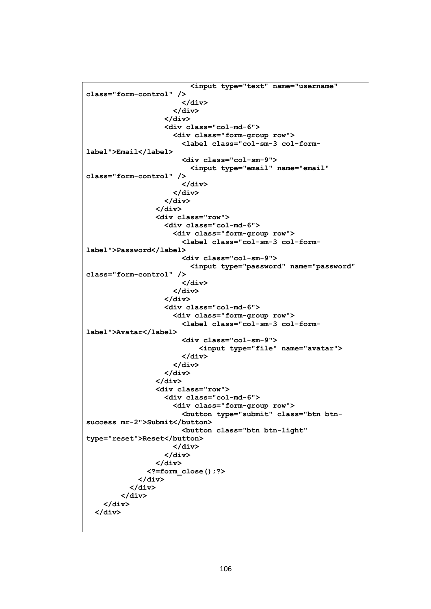```
 <input type="text" name="username" 
class="form-control" />
                        </div>
                      </div>
                    </div>
                   <div class="col-md-6">
                      <div class="form-group row">
                        <label class="col-sm-3 col-form-
label">Email</label>
                        <div class="col-sm-9">
                          <input type="email" name="email" 
class="form-control" />
                        </div>
                      </div>
                    </div>
                  </div>
                  <div class="row">
                    <div class="col-md-6">
                      <div class="form-group row">
                        <label class="col-sm-3 col-form-
label">Password</label>
                        <div class="col-sm-9">
                          <input type="password" name="password" 
class="form-control" />
                        </div>
                      </div>
                    </div>
                   <div class="col-md-6">
                      <div class="form-group row">
                        <label class="col-sm-3 col-form-
label">Avatar</label>
                        <div class="col-sm-9">
                            <input type="file" name="avatar">
                        </div>
                      </div>
                    </div>
                  </div>
                  <div class="row">
                    <div class="col-md-6">
                      <div class="form-group row">
                        <button type="submit" class="btn btn-
success mr-2">Submit</button>
                        <button class="btn btn-light" 
type="reset">Reset</button>
                      </div>
                    </div>
                  </div>
                <?=form_close();?>
             </div>
           </div>
         </div>
     </div>
   </div>
```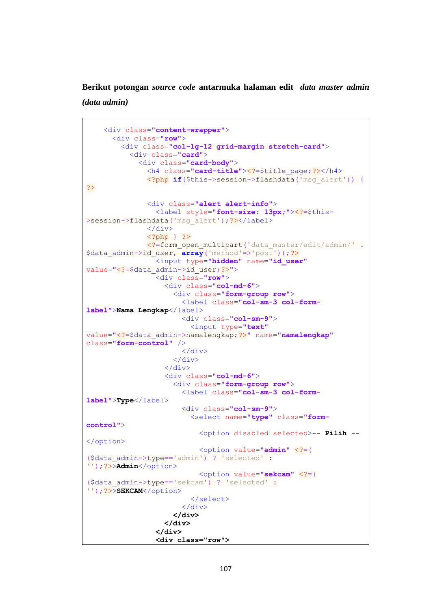**Berikut potongan** *source code* **antarmuka halaman edit** *data master admin (data admin)*

```
֧֪֚֞֝֬֝֬֝֬֝֬֝֬֝
     <div class="content-wrapper">
       <div class="row">
         <div class="col-lg-12 grid-margin stretch-card">
           <div class="card">
             <div class="card-body">
               <h4 class="card-title"><?=$title_page;?></h4>
               <?php if($this->session->flashdata('msg_alert')) {
?>
               <div class="alert alert-info">
                 <label style="font-size: 13px;"><?=$this-
>session->flashdata('msq_alert');?></label>
               </div>
               <?php } ?>
               <?=form_open_multipart('data_master/edit/admin/' .
$data admin->id user, array('method'=>'post'));?>
                  <input type="hidden" name="id_user"
value="<?=$data_admin->id_user;?>">
                  <div class="row">
                    <div class="col-md-6">
                      <div class="form-group row">
                        <label class="col-sm-3 col-form-
label">Nama Lengkap</label>
                        <div class="col-sm-9">
                          <input type="text"
value="<?=$data_admin->namalengkap;?>" name="namalengkap"
class="form-control" />
                        </div>
                      </div>
                    </div>
                   <div class="col-md-6">
                      <div class="form-group row">
                        <label class="col-sm-3 col-form-
label">Type</label>
                        <div class="col-sm-9">
                          <select name="type" class="form-
control">
                            <option disabled selected>-- Pilih --
</option>
                            <option value="admin" <?=(
($data_admin->type=='admin') ? 'selected' :
''); ?>>Admin</option>
                            <option value="sekcam" <?=(
($data_admin->type=='sekcam') ? 'selected' :
''); ?>>SEKCAM</option>
                          </select>
                        </div>
                      </div>
                    </div>
                  </div>
                  <div class="row">
```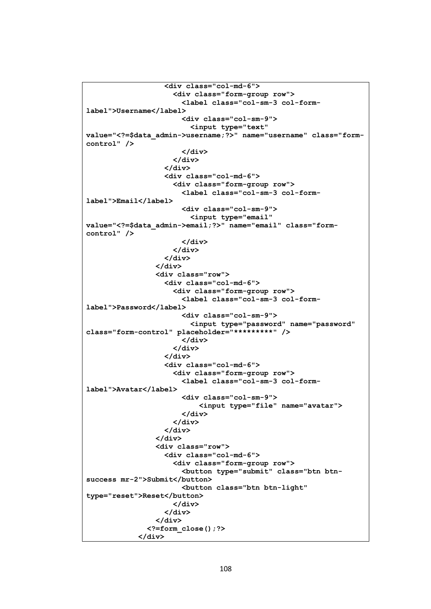```
 <div class="col-md-6">
                      <div class="form-group row">
                        <label class="col-sm-3 col-form-
label">Username</label>
                        <div class="col-sm-9">
                          <input type="text" 
value="<?=$data_admin->username;?>" name="username" class="form-
control" />
                        </div>
                      </div>
                    </div>
                   <div class="col-md-6">
                      <div class="form-group row">
                        <label class="col-sm-3 col-form-
label">Email</label>
                        <div class="col-sm-9">
                          <input type="email" 
value="<?=$data_admin->email;?>" name="email" class="form-
control" />
                        </div>
                      </div>
                    </div>
                  </div>
                  <div class="row">
                    <div class="col-md-6">
                      <div class="form-group row">
                        <label class="col-sm-3 col-form-
label">Password</label>
                        <div class="col-sm-9">
                          <input type="password" name="password" 
class="form-control" placeholder="*********" />
                        </div>
                      </div>
                    </div>
                   <div class="col-md-6">
                      <div class="form-group row">
                        <label class="col-sm-3 col-form-
label">Avatar</label>
                        <div class="col-sm-9">
                            <input type="file" name="avatar">
                        </div>
                      </div>
                    </div>
                  </div>
                  <div class="row">
                    <div class="col-md-6">
                      <div class="form-group row">
                        <button type="submit" class="btn btn-
success mr-2">Submit</button>
                        <button class="btn btn-light" 
type="reset">Reset</button>
                      </div>
                    </div>
                  </div>
                <?=form_close();?>
             </div>
```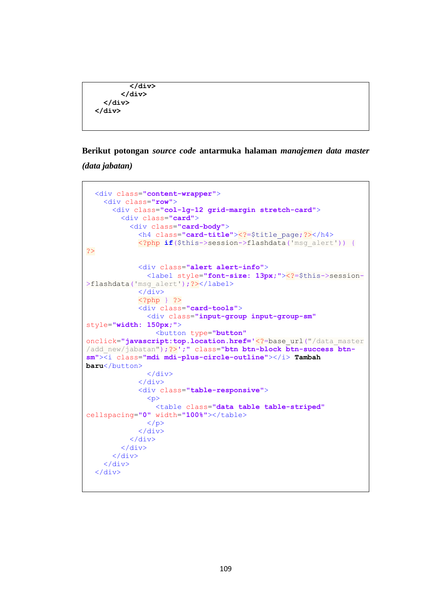```
 </div>
        </div>
   </div>
 </div>
```
**Berikut potongan** *source code* **antarmuka halaman** *manajemen data master* 

*(data jabatan)*

```
 <div class="content-wrapper">
     <div class="row">
       <div class="col-lg-12 grid-margin stretch-card">
         <div class="card">
           <div class="card-body">
              <h4 class="card-title"><?=$title_page;?></h4>
              <?php if($this->session->flashdata('msg_alert')) {
?>
              <div class="alert alert-info">
                <label style="font-size: 13px;"><?=$this->session-
>flashdata('msq alert'); ?></label>
             \langle/div>
              <?php } ?>
              <div class="card-tools">
                <div class="input-group input-group-sm"
style="width: 150px;">
                  <button type="button"
onclick="javascript:top.location.href='<?=base_url("/data_master
/add_new/jabatan");?>';" class="btn btn-block btn-success btn-
sm"><i class="mdi mdi-plus-circle-outline"></i> Tambah 
baru</button>
                </div>
              </div>
              <div class="table-responsive">
                <p>
                  <table class="data table table-striped"
cellspacing="0" width="100%"></table>
                </p>
              </div>
           </div>
         </div>
       </div>
     </div>
  \langle/div>
```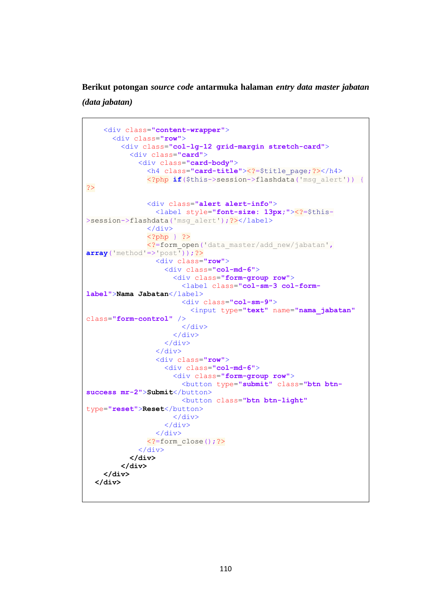**Berikut potongan** *source code* **antarmuka halaman** *entry data master jabatan* 

*(data jabatan)*

```
 <div class="content-wrapper">
       <div class="row">
         <div class="col-lg-12 grid-margin stretch-card">
           <div class="card">
             <div class="card-body">
               <h4 class="card-title"><?=$title_page;?></h4>
               <?php if($this->session->flashdata('msg_alert')) {
?>
               <div class="alert alert-info">
                 <label style="font-size: 13px;"><?=$this-
>session->flashdata('msg_alert');?></label>
               </div>
               <?php } ?>
               <?=form_open('data_master/add_new/jabatan',
array('method'=>'post'));?>
                 <div class="row">
                    <div class="col-md-6">
                      <div class="form-group row">
                        <label class="col-sm-3 col-form-
label">Nama Jabatan</label>
                        <div class="col-sm-9">
                          <input type="text" name="nama_jabatan"
class="form-control" />
                        </div>
                      </div>
                    </div>
                  </div>
                  <div class="row">
                    <div class="col-md-6">
                      <div class="form-group row">
                        <button type="submit" class="btn btn-
success mr-2">Submit</button>
                        <button class="btn btn-light"
type="reset">Reset</button>
                      </div>
                    </div>
                  </div>
               <?=form_close();?>
             </div>
           </div>
         </div>
     </div>
   </div>
```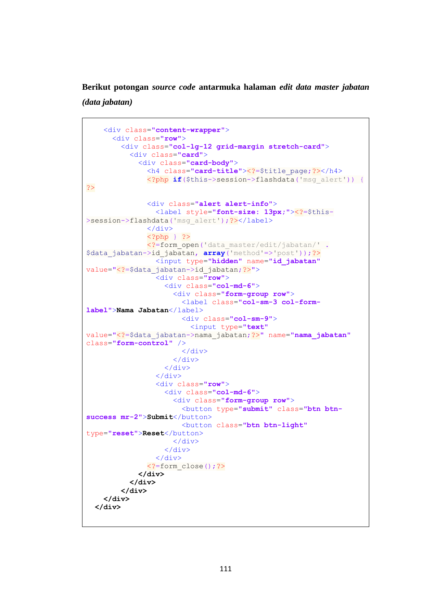**Berikut potongan** *source code* **antarmuka halaman** *edit data master jabatan (data jabatan)*

```
 <div class="content-wrapper">
       <div class="row">
         <div class="col-lg-12 grid-margin stretch-card">
           <div class="card">
             <div class="card-body">
               <h4 class="card-title"><?=$title_page;?></h4>
               <?php if($this->session->flashdata('msg_alert')) {
?>
               <div class="alert alert-info">
                 <label style="font-size: 13px;"><?=$this-
>session->flashdata('msg_alert');?></label>
               </div>
               <?php } ?>
               <?=form_open('data_master/edit/jabatan/' .
$data jabatan->id jabatan, array('method'=>'post'));?>
                 <input type="hidden" name="id_jabatan"
value="<?=$data_jabatan->id_jabatan;?>">
                 <div class="row">
                    <div class="col-md-6">
                      <div class="form-group row">
                        <label class="col-sm-3 col-form-
label">Nama Jabatan</label>
                        <div class="col-sm-9">
                          <input type="text"
value="<?=$data_jabatan->nama_jabatan;?>" name="nama_jabatan"
class="form-control" />
                        </div>
                      </div>
                    </div>
                 </div>
                 <div class="row">
                    <div class="col-md-6">
                      <div class="form-group row">
                        <button type="submit" class="btn btn-
success mr-2">Submit</button>
                        <button class="btn btn-light"
type="reset">Reset</button>
                      </div>
                    </div>
                 </div>
               <?=form_close();?>
             </div>
           </div>
         </div>
     </div>
   </div>
```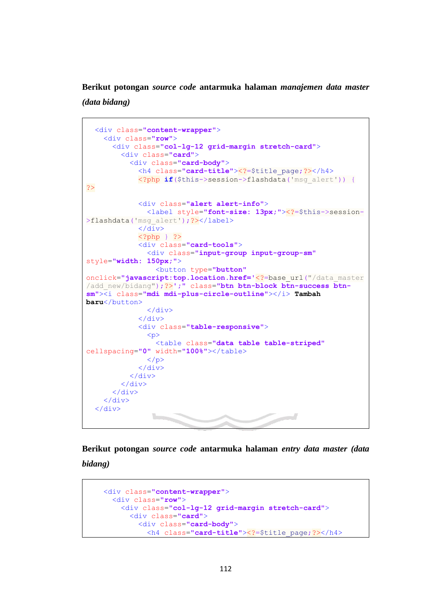**Berikut potongan** *source code* **antarmuka halaman** *manajemen data master (data bidang)*

```
֧֪֚֞֝֬֝֬֝֬֝֬֝֬֝
   <div class="content-wrapper">
     <div class="row">
       <div class="col-lg-12 grid-margin stretch-card">
          <div class="card">
            <div class="card-body">
              <h4 class="card-title"><?=$title_page;?></h4>
              <?php if($this->session->flashdata('msg_alert')) {
?>
              <div class="alert alert-info">
                <label style="font-size: 13px;"><?=$this->session-
>flashdata('msq_alert');?></label>
             \langle/div>
              <?php } ?>
              <div class="card-tools">
                <div class="input-group input-group-sm"
style="width: 150px;">
                  <button type="button"
onclick="javascript:top.location.href='<?=base_url("/data_master
/add_new/bidang");?>';" class="btn btn-block btn-success btn-
sm"><i class="mdi mdi-plus-circle-outline"></i> Tambah 
baru</button>
                </div>
              </div>
              <div class="table-responsive">
               p <table class="data table table-striped"
cellspacing="0" width="100%"></table>
               \langle p \rangle </div>
            </div>
          </div>
       </div>
     </div>
   </div>
```
**Berikut potongan** *source code* **antarmuka halaman** *entry data master (data bidang)*

```
 <div class="content-wrapper">
   <div class="row">
     <div class="col-lg-12 grid-margin stretch-card">
       <div class="card">
         <div class="card-body">
           <h4 class="card-title"><?=$title_page;?></h4>
```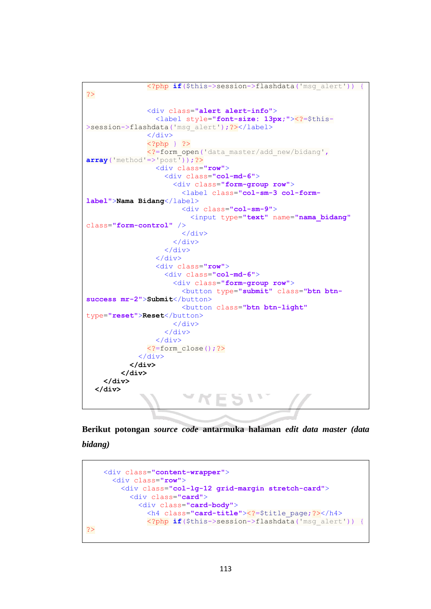```
 <?php if($this->session->flashdata('msg_alert')) {
?>
                <div class="alert alert-info">
                  <label style="font-size: 13px;"><?=$this-
>session->flashdata('msg_alert');?></label>
               \langle div>
                <?php } ?>
                <?=form_open('data_master/add_new/bidang',
array('method'=>'post'));?>
                  <div class="row">
                    <div class="col-md-6">
                      <div class="form-group row">
                        <label class="col-sm-3 col-form-
label">Nama Bidang</label>
                        <div class="col-sm-9">
                          <input type="text" name="nama_bidang"
class="form-control" />
                        </div>
                      </div>
                    </div>
                  </div>
                  <div class="row">
                    <div class="col-md-6">
                      <div class="form-group row">
                        <button type="submit" class="btn btn-
success mr-2">Submit</button>
                        <button class="btn btn-light"
type="reset">Reset</button>
                      </div>
                    </div>
                  </div>
                <?=form_close();?>
             </div>
           </div>
         </div>
     </div>
   </div>
```
**Berikut potongan** *source code* **antarmuka halaman** *edit data master (data bidang)*

```
 <div class="content-wrapper">
       <div class="row">
         <div class="col-lg-12 grid-margin stretch-card">
           <div class="card">
             <div class="card-body">
               <h4 class="card-title"><?=$title_page;?></h4>
               <?php if($this->session->flashdata('msg_alert')) {
?>
```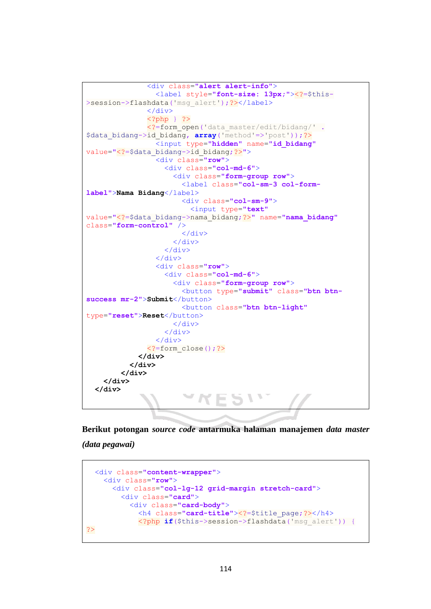```
 <div class="alert alert-info">
                  <label style="font-size: 13px;"><?=$this-
>session->flashdata('msg_alert');?></label>
                </div>
                <?php } ?>
                <?=form_open('data_master/edit/bidang/' .
$data_bidang->id_bidang, array('method'=>'post'));?>
                  <input type="hidden" name="id_bidang"
value="<?=$data_bidang->id_bidang;?>">
                  <div class="row">
                    <div class="col-md-6">
                      <div class="form-group row">
                        <label class="col-sm-3 col-form-
label">Nama Bidang</label>
                        <div class="col-sm-9">
                          <input type="text"
value="<?=$data_bidang->nama_bidang;?>" name="nama_bidang"
class="form-control" />
                        </div>
                      </div>
                    </div>
                  </div>
                  <div class="row">
                    <div class="col-md-6">
                      <div class="form-group row">
                        <button type="submit" class="btn btn-
success mr-2">Submit</button>
                        <button class="btn btn-light"
type="reset">Reset</button>
                      </div>
                    </div>
                  </div>
                <?=form_close();?>
             </div>
           </div>
         </div>
     </div>
   </div>
```
**Berikut potongan** *source code* **antarmuka halaman manajemen** *data master (data pegawai)*

```
 <div class="content-wrapper">
     <div class="row">
       <div class="col-lg-12 grid-margin stretch-card">
         <div class="card">
           <div class="card-body">
             <h4 class="card-title"><?=$title_page;?></h4>
             <?php if($this->session->flashdata('msg_alert')) {
?>
```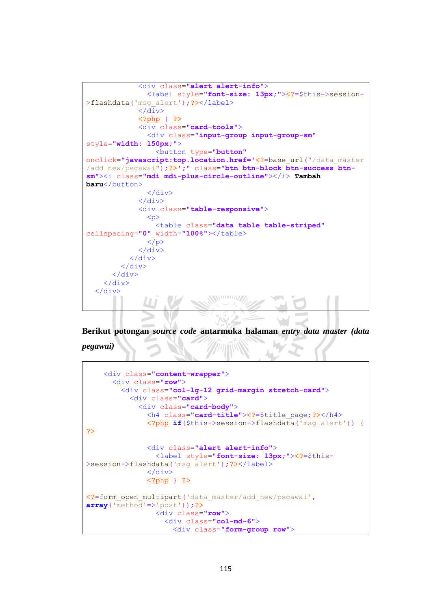```
 <div class="alert alert-info">
                <label style="font-size: 13px;"><?=$this->session-
>flashdata('msg_alert');?></label>
              </div>
              <?php } ?>
              <div class="card-tools">
                <div class="input-group input-group-sm"
style="width: 150px;">
                  <button type="button"
onclick="javascript:top.location.href='<?=base_url("/data_master
/add_new/pegawai");?>';" class="btn btn-block btn-success btn-
sm"><i class="mdi mdi-plus-circle-outline"></i> Tambah 
baru</button>
                </div>
              </div>
              <div class="table-responsive">
                <p>
                  <table class="data table table-striped"
cellspacing="0" width="100%"></table>
               \langle/p>
              </div>
           </div>
         </div>
       </div>
     </div>
   </div>
                               WWW.
```
**Berikut potongan** *source code* **antarmuka halaman** *entry data master (data pegawai)*

```
 <div class="content-wrapper">
       <div class="row">
         <div class="col-lg-12 grid-margin stretch-card">
           <div class="card">
             <div class="card-body">
               <h4 class="card-title"><?=$title_page;?></h4>
               <?php if($this->session->flashdata('msg_alert')) {
?>
               <div class="alert alert-info">
                 <label style="font-size: 13px;"><?=$this-
>session->flashdata('msg_alert');?></label>
               </div>
               <?php } ?>
<?=form open multipart('data master/add new/pegawai',
array('method' => 'post')) ;?>
                 <div class="row">
                   <div class="col-md-6">
                     <div class="form-group row">
```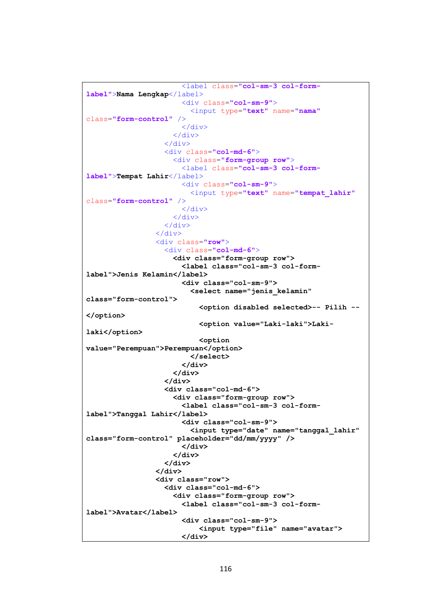```
 <label class="col-sm-3 col-form-
label">Nama Lengkap</label>
                        <div class="col-sm-9">
                          <input type="text" name="nama"
class="form-control" />
                       \langle div>
                      </div>
                   \langle/div>
                   <div class="col-md-6">
                      <div class="form-group row">
                        <label class="col-sm-3 col-form-
label">Tempat Lahir</label>
                        <div class="col-sm-9">
                          <input type="text" name="tempat_lahir"
class="form-control" />
                        </div>
                      </div>
                    </div>
                  </div>
                  <div class="row">
                    <div class="col-md-6">
                      <div class="form-group row">
                        <label class="col-sm-3 col-form-
label">Jenis Kelamin</label>
                        <div class="col-sm-9">
                          <select name="jenis_kelamin" 
class="form-control">
                            <option disabled selected>-- Pilih --
</option>
                            <option value="Laki-laki">Laki-
laki</option>
                            <option 
value="Perempuan">Perempuan</option>
                          </select>
                        </div>
                      </div>
                    </div>
                   <div class="col-md-6">
                      <div class="form-group row">
                        <label class="col-sm-3 col-form-
label">Tanggal Lahir</label>
                        <div class="col-sm-9">
                          <input type="date" name="tanggal_lahir" 
class="form-control" placeholder="dd/mm/yyyy" />
                        </div>
                      </div>
                    </div>
                  </div>
                  <div class="row">
                    <div class="col-md-6">
                      <div class="form-group row">
                        <label class="col-sm-3 col-form-
label">Avatar</label>
                        <div class="col-sm-9">
                             <input type="file" name="avatar">
                        </div>
```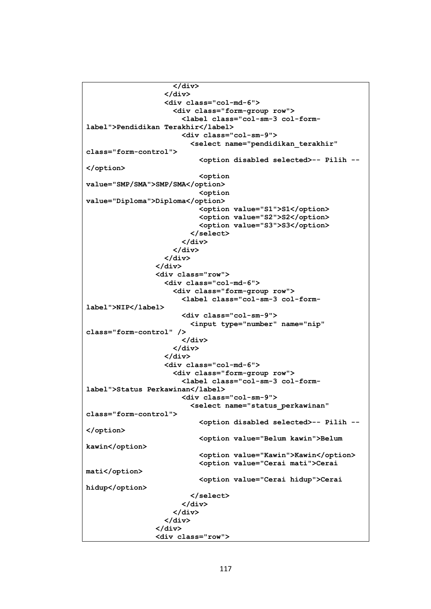```
 </div>
                    </div>
                   <div class="col-md-6">
                      <div class="form-group row">
                        <label class="col-sm-3 col-form-
label">Pendidikan Terakhir</label>
                        <div class="col-sm-9">
                          <select name="pendidikan_terakhir" 
class="form-control">
                            <option disabled selected>-- Pilih --
</option>
                            <option 
value="SMP/SMA">SMP/SMA</option>
                            <option 
value="Diploma">Diploma</option>
                            <option value="S1">S1</option>
                           <option value="S2">S2</option>
                            <option value="S3">S3</option>
                          </select>
                        </div>
                      </div>
                    </div>
                  </div>
                  <div class="row">
                    <div class="col-md-6">
                      <div class="form-group row">
                        <label class="col-sm-3 col-form-
label">NIP</label>
                        <div class="col-sm-9">
                          <input type="number" name="nip" 
class="form-control" />
                        </div>
                      </div>
                    </div>
                   <div class="col-md-6">
                      <div class="form-group row">
                        <label class="col-sm-3 col-form-
label">Status Perkawinan</label>
                        <div class="col-sm-9">
                          <select name="status_perkawinan" 
class="form-control">
                            <option disabled selected>-- Pilih --
</option>
                            <option value="Belum kawin">Belum 
kawin</option>
                            <option value="Kawin">Kawin</option>
                           <option value="Cerai mati">Cerai 
mati</option>
                            <option value="Cerai hidup">Cerai 
hidup</option>
                          </select>
                        </div>
                      </div>
                    </div>
                  </div>
                  <div class="row">
```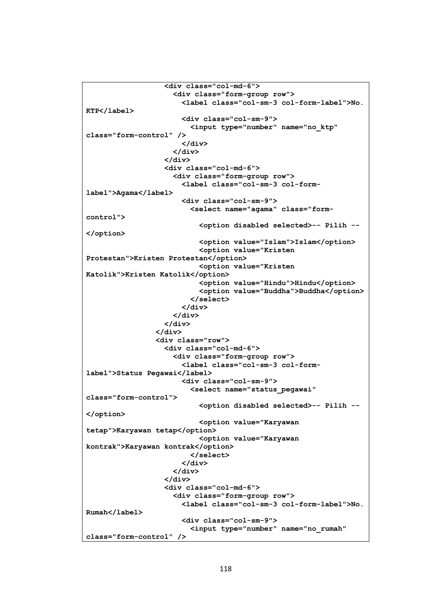```
 <div class="col-md-6">
                      <div class="form-group row">
                        <label class="col-sm-3 col-form-label">No. 
KTP</label>
                        <div class="col-sm-9">
                          <input type="number" name="no_ktp" 
class="form-control" />
                        </div>
                      </div>
                    </div>
                   <div class="col-md-6">
                      <div class="form-group row">
                        <label class="col-sm-3 col-form-
label">Agama</label>
                        <div class="col-sm-9">
                          <select name="agama" class="form-
control">
                            <option disabled selected>-- Pilih --
</option>
                            <option value="Islam">Islam</option>
                            <option value="Kristen 
Protestan">Kristen Protestan</option>
                            <option value="Kristen 
Katolik">Kristen Katolik</option>
                            <option value="Hindu">Hindu</option>
                           <option value="Buddha">Buddha</option>
                          </select>
                        </div>
                      </div>
                    </div>
                  </div>
                  <div class="row">
                    <div class="col-md-6">
                      <div class="form-group row">
                        <label class="col-sm-3 col-form-
label">Status Pegawai</label>
                        <div class="col-sm-9">
                          <select name="status_pegawai" 
class="form-control">
                            <option disabled selected>-- Pilih --
</option>
                            <option value="Karyawan 
tetap">Karyawan tetap</option>
                            <option value="Karyawan 
kontrak">Karyawan kontrak</option>
                          </select>
                        </div>
                      </div>
                    </div>
                   <div class="col-md-6">
                      <div class="form-group row">
                        <label class="col-sm-3 col-form-label">No. 
Rumah</label>
                        <div class="col-sm-9">
                          <input type="number" name="no_rumah" 
class="form-control" />
```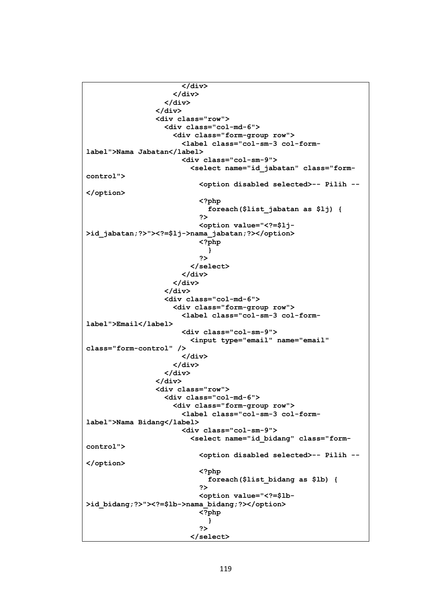```
 </div>
                       </div>
                     </div>
                   </div>
                   <div class="row">
                     <div class="col-md-6">
                        <div class="form-group row">
                          <label class="col-sm-3 col-form-
label">Nama Jabatan</label>
                          <div class="col-sm-9">
                            <select name="id_jabatan" class="form-
control">
                              <option disabled selected>-- Pilih --
</option>
                              <?php
                                foreach($list_jabatan as $lj) {
  ?>
                              <option value="<?=$lj-
>id_jabatan;?>"><?=$lj->nama_jabatan;?></option>
                              <?php
 }
2><br>2010年11月11日 - 10月11日 - 11月11日 - 11月11日 - 11月11日 - 11月11日 - 11月11日 - 11月11日 - 11月
                            </select>
                          </div>
                       </div>
                     </div>
                    <div class="col-md-6">
                       <div class="form-group row">
                          <label class="col-sm-3 col-form-
label">Email</label>
                          <div class="col-sm-9">
                            <input type="email" name="email" 
class="form-control" />
                          </div>
                       </div>
                     </div>
                   </div>
                   <div class="row">
                     <div class="col-md-6">
                        <div class="form-group row">
                          <label class="col-sm-3 col-form-
label">Nama Bidang</label>
                          <div class="col-sm-9">
                            <select name="id_bidang" class="form-
control">
                              <option disabled selected>-- Pilih --
</option>
                              <?php
                                 foreach($list_bidang as $lb) {
2><br>2010年11月11日 - 10月11日 - 11月11日 - 11月11日 - 11月11日 - 11月11日 - 11月11日 - 11月11日 - 11月
                             <option value="<?=$lb-
>id_bidang;?>"><?=$lb->nama_bidang;?></option>
                              <?php
 }
2><br>2010年11月11日 - 10月11日 - 11月11日 - 11月11日 - 11月11日 - 11月11日 - 11月11日 - 11月11日 - 11月
                            </select>
```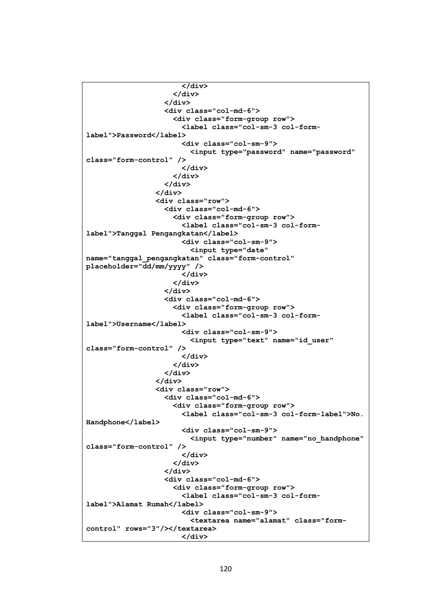```
 </div>
                      </div>
                    </div>
                   <div class="col-md-6">
                      <div class="form-group row">
                        <label class="col-sm-3 col-form-
label">Password</label>
                        <div class="col-sm-9">
                          <input type="password" name="password" 
class="form-control" />
                        </div>
                      </div>
                    </div>
                  </div>
                  <div class="row">
                    <div class="col-md-6">
                      <div class="form-group row">
                        <label class="col-sm-3 col-form-
label">Tanggal Pengangkatan</label>
                        <div class="col-sm-9">
                          <input type="date" 
name="tanggal_pengangkatan" class="form-control" 
placeholder="dd/mm/yyyy" />
                        </div>
                      </div>
                    </div>
                   <div class="col-md-6">
                      <div class="form-group row">
                        <label class="col-sm-3 col-form-
label">Username</label>
                        <div class="col-sm-9">
                          <input type="text" name="id_user" 
class="form-control" />
                        </div>
                      </div>
                   </div>
                  </div>
                  <div class="row">
                    <div class="col-md-6">
                      <div class="form-group row">
                        <label class="col-sm-3 col-form-label">No. 
Handphone</label>
                        <div class="col-sm-9">
                          <input type="number" name="no_handphone" 
class="form-control" />
                        </div>
                      </div>
                    </div>
                   <div class="col-md-6">
                      <div class="form-group row">
                        <label class="col-sm-3 col-form-
label">Alamat Rumah</label>
                        <div class="col-sm-9">
                          <textarea name="alamat" class="form-
control" rows="3"/></textarea>
                        </div>
```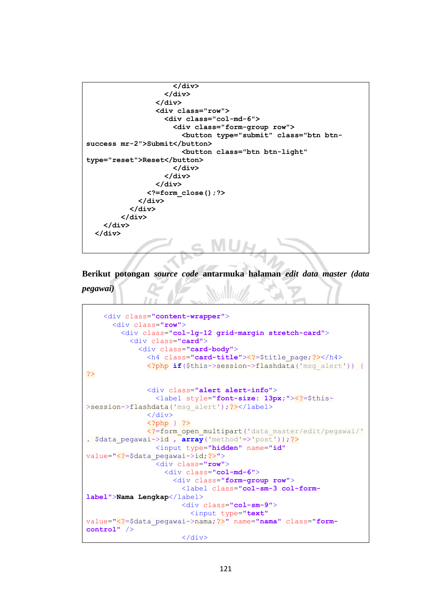```
 </div>
                    </div>
                  </div>
                  <div class="row">
                    <div class="col-md-6">
                       <div class="form-group row">
                         <button type="submit" class="btn btn-
success mr-2">Submit</button>
                         <button class="btn btn-light" 
type="reset">Reset</button>
                      </div>
                    </div>
                  </div>
                <?=form_close();?>
              </div>
            </div>
         </div>
     </div>
   </div>
```

```
Berikut potongan source code antarmuka halaman edit data master (data 
pegawai)
```

```
 <div class="content-wrapper">
       <div class="row">
         <div class="col-lg-12 grid-margin stretch-card">
           <div class="card">
             <div class="card-body">
               <h4 class="card-title"><?=$title_page;?></h4>
               <?php if($this->session->flashdata('msg_alert')) {
?>
               <div class="alert alert-info">
                 <label style="font-size: 13px;"><?=$this-
>session->flashdata('msg_alert');?></label>
               </div>
               <?php } ?>
               <?=form_open_multipart('data_master/edit/pegawai/'
. $data pegawai->id , array('method='>post'));?>
                 <input type="hidden" name="id"
value="<?=$data_pegawai->id;?>">
                 <div class="row">
                   <div class="col-md-6">
                     <div class="form-group row">
                        <label class="col-sm-3 col-form-
label">Nama Lengkap</label>
                        <div class="col-sm-9">
                          <input type="text"
value="<?=$data_pegawai->nama;?>" name="nama" class="form-
control" />
                        </div>
```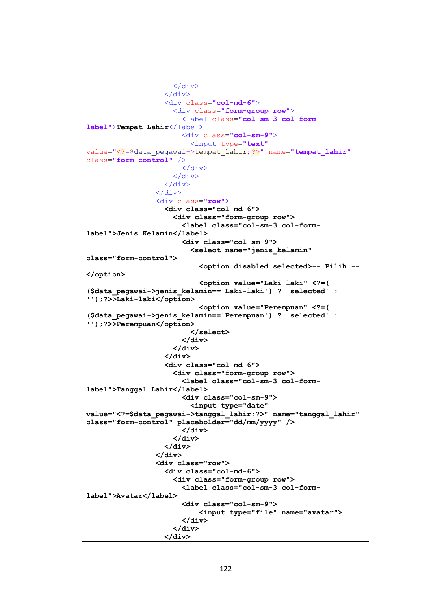```
 </div>
                   \langle/div>
                   <div class="col-md-6">
                      <div class="form-group row">
                        <label class="col-sm-3 col-form-
label">Tempat Lahir</label>
                        <div class="col-sm-9">
                           <input type="text"
value="<?=$data_pegawai->tempat_lahir;?>" name="tempat_lahir"
class="form-control" />
                        </div>
                     \langle/div>
                    </div>
                  </div>
                  <div class="row">
                    <div class="col-md-6">
                      <div class="form-group row">
                        <label class="col-sm-3 col-form-
label">Jenis Kelamin</label>
                        <div class="col-sm-9">
                          <select name="jenis_kelamin" 
class="form-control">
                            <option disabled selected>-- Pilih --
</option>
                            <option value="Laki-laki" <?=( 
($data_pegawai->jenis_kelamin=='Laki-laki') ? 'selected' : 
'');?>>Laki-laki</option>
                            <option value="Perempuan" <?=( 
($data_pegawai->jenis_kelamin=='Perempuan') ? 'selected' : 
'');?>>Perempuan</option>
                          </select>
                        </div>
                      </div>
                    </div>
                   <div class="col-md-6">
                      <div class="form-group row">
                        <label class="col-sm-3 col-form-
label">Tanggal Lahir</label>
                        <div class="col-sm-9">
                          <input type="date" 
value="<?=$data_pegawai->tanggal_lahir;?>" name="tanggal_lahir" 
class="form-control" placeholder="dd/mm/yyyy" />
                        </div>
                      </div>
                    </div>
                  </div>
                  <div class="row">
                    <div class="col-md-6">
                      <div class="form-group row">
                        <label class="col-sm-3 col-form-
label">Avatar</label>
                        <div class="col-sm-9">
                             <input type="file" name="avatar">
                        </div>
                      </div>
                    </div>
```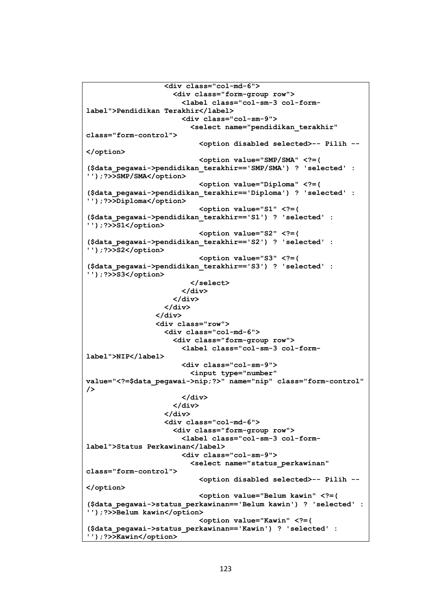```
 <div class="col-md-6">
                      <div class="form-group row">
                        <label class="col-sm-3 col-form-
label">Pendidikan Terakhir</label>
                        <div class="col-sm-9">
                          <select name="pendidikan_terakhir" 
class="form-control">
                            <option disabled selected>-- Pilih --
</option>
                            <option value="SMP/SMA" <?=( 
($data_pegawai->pendidikan_terakhir=='SMP/SMA') ? 'selected' : 
'');?>>SMP/SMA</option>
                            <option value="Diploma" <?=( 
($data_pegawai->pendidikan_terakhir=='Diploma') ? 'selected' : 
'');?>>Diploma</option>
                            <option value="S1" <?=( 
($data_pegawai->pendidikan_terakhir=='S1') ? 'selected' : 
'');?>>S1</option>
                            <option value="S2" <?=( 
($data_pegawai->pendidikan_terakhir=='S2') ? 'selected' : 
'');?>>S2</option>
                            <option value="S3" <?=( 
($data_pegawai->pendidikan_terakhir=='S3') ? 'selected' : 
'');?>>S3</option>
                          </select>
                        </div>
                      </div>
                    </div>
                 </div>
                 <div class="row">
                    <div class="col-md-6">
                      <div class="form-group row">
                        <label class="col-sm-3 col-form-
label">NIP</label>
                        <div class="col-sm-9">
                          <input type="number" 
value="<?=$data_pegawai->nip;?>" name="nip" class="form-control" 
/>
                        </div>
                      </div>
                    </div>
                   <div class="col-md-6">
                      <div class="form-group row">
                        <label class="col-sm-3 col-form-
label">Status Perkawinan</label>
                        <div class="col-sm-9">
                          <select name="status_perkawinan" 
class="form-control">
                            <option disabled selected>-- Pilih --
</option>
                            <option value="Belum kawin" <?=( 
($data_pegawai->status_perkawinan=='Belum kawin') ? 'selected' : 
'');?>>Belum kawin</option>
                            <option value="Kawin" <?=( 
($data_pegawai->status_perkawinan=='Kawin') ? 'selected' : 
'');?>>Kawin</option>
```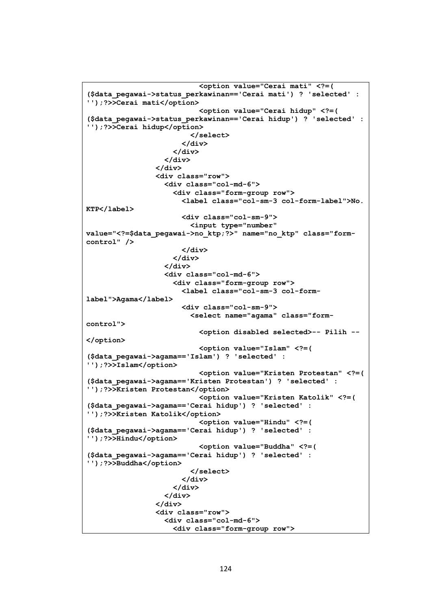```
 <option value="Cerai mati" <?=( 
($data_pegawai->status_perkawinan=='Cerai mati') ? 'selected' : 
'');?>>Cerai mati</option>
                            <option value="Cerai hidup" <?=( 
($data_pegawai->status_perkawinan=='Cerai hidup') ? 'selected' : 
'');?>>Cerai hidup</option>
                          </select>
                        </div>
                      </div>
                    </div>
                  </div>
                  <div class="row">
                    <div class="col-md-6">
                      <div class="form-group row">
                        <label class="col-sm-3 col-form-label">No. 
KTP</label>
                        <div class="col-sm-9">
                          <input type="number" 
value="<?=$data_pegawai->no_ktp;?>" name="no_ktp" class="form-
control" />
                        </div>
                      </div>
                    </div>
                   <div class="col-md-6">
                      <div class="form-group row">
                        <label class="col-sm-3 col-form-
label">Agama</label>
                        <div class="col-sm-9">
                          <select name="agama" class="form-
control">
                            <option disabled selected>-- Pilih --
</option>
                            <option value="Islam" <?=( 
($data_pegawai->agama=='Islam') ? 'selected' : 
'');?>>Islam</option>
                            <option value="Kristen Protestan" <?=( 
($data_pegawai->agama=='Kristen Protestan') ? 'selected' : 
'');?>>Kristen Protestan</option>
                            <option value="Kristen Katolik" <?=( 
($data_pegawai->agama=='Cerai hidup') ? 'selected' : 
'');?>>Kristen Katolik</option>
                            <option value="Hindu" <?=( 
($data_pegawai->agama=='Cerai hidup') ? 'selected' : 
'');?>>Hindu</option>
                            <option value="Buddha" <?=( 
($data_pegawai->agama=='Cerai hidup') ? 'selected' : 
'');?>>Buddha</option>
                          </select>
                        </div>
                      </div>
                    </div>
                  </div>
                  <div class="row">
                    <div class="col-md-6">
                      <div class="form-group row">
```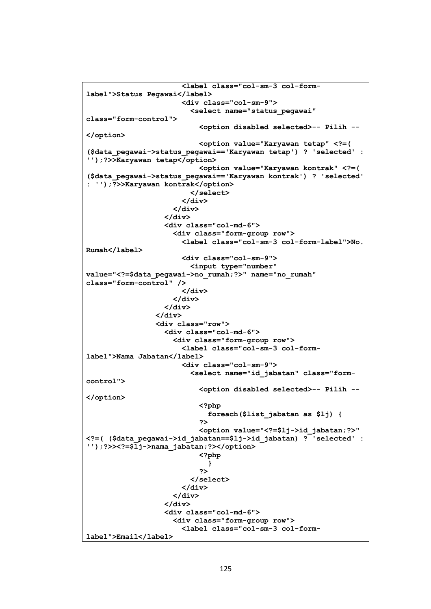```
 <label class="col-sm-3 col-form-
label">Status Pegawai</label>
                         <div class="col-sm-9">
                           <select name="status_pegawai" 
class="form-control">
                              <option disabled selected>-- Pilih --
</option>
                              <option value="Karyawan tetap" <?=( 
($data_pegawai->status_pegawai=='Karyawan tetap') ? 'selected' : 
'');?>>Karyawan tetap</option>
                              <option value="Karyawan kontrak" <?=( 
($data_pegawai->status_pegawai=='Karyawan kontrak') ? 'selected' 
: '');?>>Karyawan kontrak</option>
                           </select>
                         </div>
                       </div>
                     </div>
                    <div class="col-md-6">
                       <div class="form-group row">
                         <label class="col-sm-3 col-form-label">No. 
Rumah</label>
                         <div class="col-sm-9">
                           <input type="number" 
value="<?=$data_pegawai->no_rumah;?>" name="no_rumah" 
class="form-control" />
                         </div>
                       </div>
                     </div>
                   </div>
                   <div class="row">
                     <div class="col-md-6">
                       <div class="form-group row">
                         <label class="col-sm-3 col-form-
label">Nama Jabatan</label>
                         <div class="col-sm-9">
                            <select name="id_jabatan" class="form-
control">
                              <option disabled selected>-- Pilih --
</option>
                              <?php
                                foreach($list_jabatan as $lj) {
2><br>2010年11月11日 - 10月11日 - 11月11日 - 11月11日 - 11月11日 - 11月11日 - 11月11日 - 11月11日 - 11月
                             <option value="<?=$lj->id_jabatan;?>" 
<?=( ($data_pegawai->id_jabatan==$lj->id_jabatan) ? 'selected' : 
'');?>><?=$lj->nama_jabatan;?></option>
                              <?php
 }
2><br>2010年11月11日 - 10月11日 - 11月11日 - 11月11日 - 11月11日 - 11月11日 - 11月11日 - 11月11日 - 11月
                            </select>
                         </div>
                       </div>
                     </div>
                    <div class="col-md-6">
                       <div class="form-group row">
                         <label class="col-sm-3 col-form-
label">Email</label>
```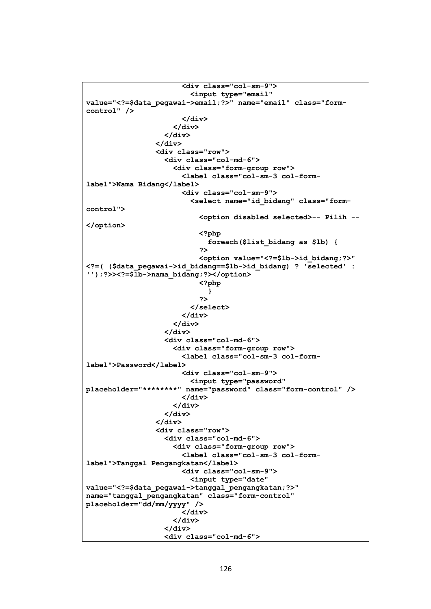```
 <div class="col-sm-9">
                            <input type="email" 
value="<?=$data_pegawai->email;?>" name="email" class="form-
control" />
                         </div>
                       </div>
                     </div>
                   </div>
                   <div class="row">
                     <div class="col-md-6">
                       <div class="form-group row">
                          <label class="col-sm-3 col-form-
label">Nama Bidang</label>
                         <div class="col-sm-9">
                            <select name="id_bidang" class="form-
control">
                              <option disabled selected>-- Pilih --
</option>
                              <?php
                                foreach($list_bidang as $lb) {
2><br>2010年11月11日 - 10月11日 - 11月11日 - 11月11日 - 11月11日 - 11月11日 - 11月11日 - 11月11日 - 11月
                             <option value="<?=$lb->id_bidang;?>" 
<?=( ($data_pegawai->id_bidang==$lb->id_bidang) ? 'selected' : 
'');?>><?=$lb->nama_bidang;?></option>
                              <?php
 }
2><br>2010年11月11日 - 10月11日 - 11月11日 - 11月11日 - 11月11日 - 11月11日 - 11月11日 - 11月11日 - 11月
                            </select>
                         </div>
                       </div>
                     </div>
                     <div class="col-md-6">
                       <div class="form-group row">
                          <label class="col-sm-3 col-form-
label">Password</label>
                          <div class="col-sm-9">
                            <input type="password" 
placeholder="********" name="password" class="form-control" />
                          </div>
                       </div>
                     </div>
                   </div>
                   <div class="row">
                     <div class="col-md-6">
                       <div class="form-group row">
                          <label class="col-sm-3 col-form-
label">Tanggal Pengangkatan</label>
                         <div class="col-sm-9">
                            <input type="date" 
value="<?=$data_pegawai->tanggal_pengangkatan;?>" 
name="tanggal_pengangkatan" class="form-control" 
placeholder="dd/mm/yyyy" />
                          </div>
                       </div>
                     </div>
                    <div class="col-md-6">
```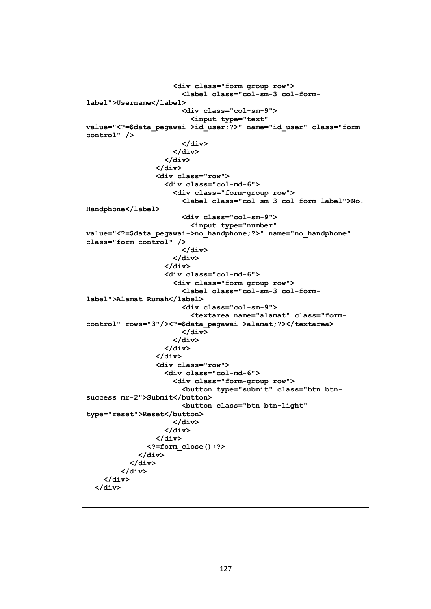```
 <div class="form-group row">
                        <label class="col-sm-3 col-form-
label">Username</label>
                        <div class="col-sm-9">
                          <input type="text" 
value="<?=$data_pegawai->id_user;?>" name="id_user" class="form-
control" />
                        </div>
                      </div>
                    </div>
                  </div>
                  <div class="row">
                    <div class="col-md-6">
                      <div class="form-group row">
                        <label class="col-sm-3 col-form-label">No. 
Handphone</label>
                        <div class="col-sm-9">
                          <input type="number" 
value="<?=$data_pegawai->no_handphone;?>" name="no_handphone" 
class="form-control" />
                        </div>
                      </div>
                    </div>
                   <div class="col-md-6">
                      <div class="form-group row">
                        <label class="col-sm-3 col-form-
label">Alamat Rumah</label>
                        <div class="col-sm-9">
                          <textarea name="alamat" class="form-
control" rows="3"/><?=$data_pegawai->alamat;?></textarea>
                        </div>
                      </div>
                    </div>
                  </div>
                  <div class="row">
                    <div class="col-md-6">
                      <div class="form-group row">
                        <button type="submit" class="btn btn-
success mr-2">Submit</button>
                        <button class="btn btn-light" 
type="reset">Reset</button>
                      </div>
                    </div>
                  </div>
               <?=form_close();?>
             </div>
           </div>
         </div>
     </div>
   </div>
```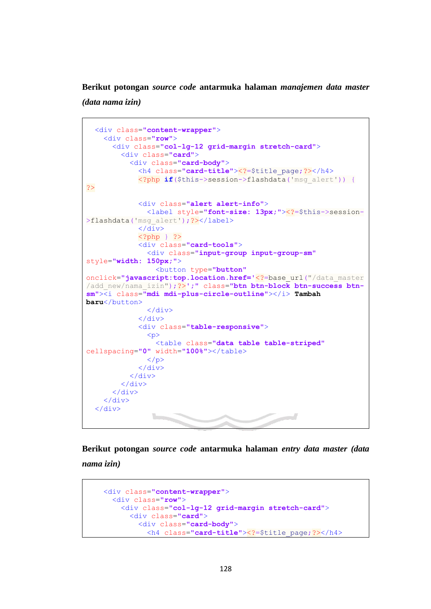**Berikut potongan** *source code* **antarmuka halaman** *manajemen data master* 

*(data nama izin)*

֧֪֚֞֝֬֝֬֝֬֝֬֝֬֝

```
 <div class="content-wrapper">
     <div class="row">
       <div class="col-lg-12 grid-margin stretch-card">
         <div class="card">
            <div class="card-body">
              <h4 class="card-title"><?=$title_page;?></h4>
              <?php if($this->session->flashdata('msg_alert')) {
?>
              <div class="alert alert-info">
                <label style="font-size: 13px;"><?=$this->session-
>flashdata('msq_alert');?></label>
             \langle/div>
              <?php } ?>
              <div class="card-tools">
                <div class="input-group input-group-sm"
style="width: 150px;">
                  <button type="button"
onclick="javascript:top.location.href='<?=base_url("/data_master
/add_new/nama_izin");?>';" class="btn btn-block btn-success btn-
sm"><i class="mdi mdi-plus-circle-outline"></i> Tambah 
baru</button>
                </div>
              </div>
              <div class="table-responsive">
               p <table class="data table table-striped"
cellspacing="0" width="100%"></table>
               \langle p \rangle </div>
            </div>
         </div>
       </div>
     </div>
   </div>
```
**Berikut potongan** *source code* **antarmuka halaman** *entry data master (data nama izin)*

```
 <div class="content-wrapper">
   <div class="row">
     <div class="col-lg-12 grid-margin stretch-card">
       <div class="card">
         <div class="card-body">
           <h4 class="card-title"><?=$title_page;?></h4>
```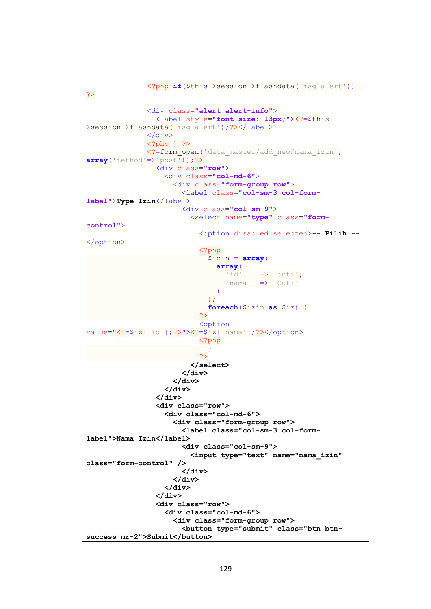```
 <?php if($this->session->flashdata('msg_alert')) {
?>
                 <div class="alert alert-info">
                    <label style="font-size: 13px;"><?=$this-
>session->flashdata('msg_alert');?></label>
                \langle div>
                 <?php } ?>
                 <?=form_open('data_master/add_new/nama_izin',
array('method'=>'post'));?>
                    <div class="row">
                      <div class="col-md-6">
                         <div class="form-group row">
                           <label class="col-sm-3 col-form-
label">Type Izin</label>
                           <div class="col-sm-9">
                             <select name="type" class="form-
control">
                                <option disabled selected>-- Pilih --
</option>
                                <?php
                                 $izin = array( array(
                                      'id' \Rightarrow 'cuti',
                                      'nama' => 'Cuti'
\overline{\phantom{a}}\left( \begin{array}{c} 0 & 1 \\ 0 & 1 \end{array} \right)foreach($izin as $iz) {
?> and an anti-service of the service of the service of the service of the service of the service of the service
                               <option
value="<?=$iz['id'];?>"><?=$iz['nama'];?></option>
                                <?php
 }
?> and an anti-service of the service of the service of the service of the service of the service of the service
                             </select>
                           </div>
                         </div>
                      </div>
                    </div>
                    <div class="row">
                      <div class="col-md-6">
                         <div class="form-group row">
                           <label class="col-sm-3 col-form-
label">Nama Izin</label>
                           <div class="col-sm-9">
                             <input type="text" name="nama_izin" 
class="form-control" />
                           </div>
                         </div>
                      </div>
                    </div>
                    <div class="row">
                      <div class="col-md-6">
                         <div class="form-group row">
                           <button type="submit" class="btn btn-
success mr-2">Submit</button>
```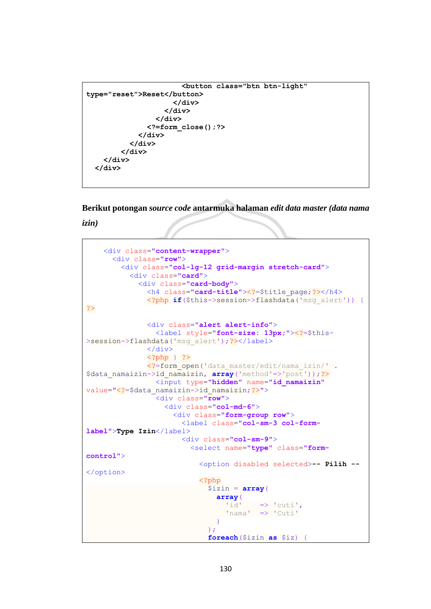```
 <button class="btn btn-light" 
type="reset">Reset</button>
                       </div>
                     </div>
                   </div>
                <?=form_close();?>
              </div>
            </div>
          </div>
     </div>
   </div>
```
**Berikut potongan** *source code* **antarmuka halaman** *edit data master (data nama* 

*izin)*

```
֧֪֚֞֝֬֝֬֝֬֝֬֝֬֝
     <div class="content-wrapper">
       <div class="row">
         <div class="col-lg-12 grid-margin stretch-card">
           <div class="card">
             <div class="card-body">
                <h4 class="card-title"><?=$title_page;?></h4>
                <?php if($this->session->flashdata('msg_alert')) {
?>
                <div class="alert alert-info">
                  <label style="font-size: 13px;"><?=$this-
>session->flashdata('msg_alert');?></label>
                </div>
                <?php } ?>
                <?=form_open('data_master/edit/nama_izin/' .
$data_namaizin->id_namaizin, array('method'=>'post'));?>
                  <input type="hidden" name="id_namaizin"
value="<?=$data_namaizin->id_namaizin;?>">
                  <div class="row">
                    <div class="col-md-6">
                      <div class="form-group row">
                        <label class="col-sm-3 col-form-
label">Type Izin</label>
                        <div class="col-sm-9">
                          <select name="type" class="form-
control">
                             <option disabled selected>-- Pilih --
</option>
                             <?php
                              $izin = array( array(
                                  'id' \Rightarrow 'cuti',
                                   'nama' => 'Cuti'
\overline{\phantom{a}}\left( \begin{array}{c} 1 \\ 2 \end{array} \right);
                              foreach($izin as $iz) {
```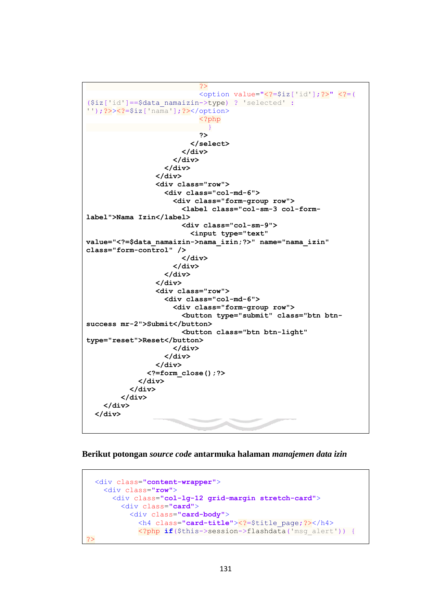```
?> and an anti-service of the service of the service of the service of the service of the service of the service
                                <option value="<?=$iz['id'];?>" <?=(
($iz['id']==$data_namaizin->type) ? 'selected' :
'');?>><?=$iz['nama'];?></option>
                                 <?php
 }
2><br>2010年11月11日 - 10月11日 - 11月11日 - 11月11日 - 11月11日 - 11月11日 - 11月11日 - 11月11日 - 11月
                              </select>
                            </div>
                         </div>
                       </div>
                    </div>
                    <div class="row">
                       <div class="col-md-6">
                         <div class="form-group row">
                            <label class="col-sm-3 col-form-
label">Nama Izin</label>
                            <div class="col-sm-9">
                              <input type="text" 
value="<?=$data_namaizin->nama_izin;?>" name="nama_izin" 
class="form-control" />
                            </div>
                         </div>
                       </div>
                    </div>
                    <div class="row">
                       <div class="col-md-6">
                         <div class="form-group row">
                            <button type="submit" class="btn btn-
success mr-2">Submit</button>
                            <button class="btn btn-light" 
type="reset">Reset</button>
                         </div>
                       </div>
                    </div>
                  <?=form_close();?>
               </div>
             </div>
          </div>
      </div>
   </div>
```
**Berikut potongan** *source code* **antarmuka halaman** *manajemen data izin*

```
֧֪֚֞֝֬֝֬֝֬֝֬֝֬֝
   <div class="content-wrapper">
     <div class="row">
       <div class="col-lg-12 grid-margin stretch-card">
         <div class="card">
            <div class="card-body">
              <h4 class="card-title"><?=$title_page;?></h4>
              <?php if($this->session->flashdata('msg_alert')) {
\sim
```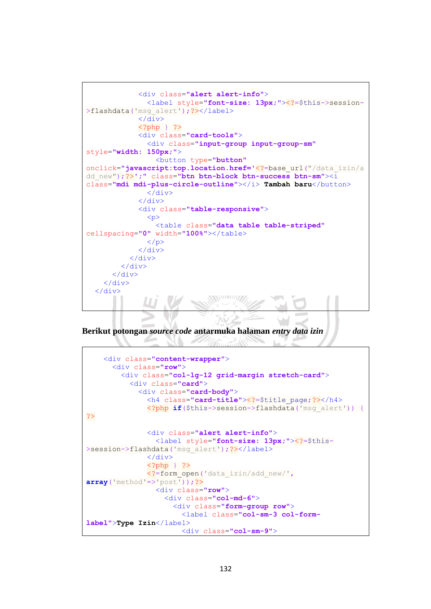```
 <div class="alert alert-info">
                <label style="font-size: 13px;"><?=$this->session-
>flashdata('msq_alert');?></label>
             \langle/div>
              <?php } ?>
              <div class="card-tools">
                <div class="input-group input-group-sm"
style="width: 150px;">
                  <button type="button"
onclick="javascript:top.location.href='<?=base_url("/data_izin/a
dd_new");?>';" class="btn btn-block btn-success btn-sm"><i
class="mdi mdi-plus-circle-outline"></i> Tambah baru</button>
                </div>
              </div>
              <div class="table-responsive">
                <p>
                  <table class="data table table-striped"
cellspacing="0" width="100%"></table>
               \langle/p>
              </div>
           </div>
         </div>
       </div>
     </div>
   </div>
                               ANNUELLIZZ
```
**Berikut potongan** *source code* **antarmuka halaman** *entry data izin*

```
 <div class="content-wrapper">
       <div class="row">
         <div class="col-lg-12 grid-margin stretch-card">
           <div class="card">
             <div class="card-body">
               <h4 class="card-title"><?=$title_page;?></h4>
               <?php if($this->session->flashdata('msg_alert')) {
?>
               <div class="alert alert-info">
                 <label style="font-size: 13px;"><?=$this-
>session->flashdata('msg_alert');?></label>
               </div>
              \langle?php } ?>
               <?=form_open('data_izin/add_new/',
array('method' => 'post') ; ?>
                  <div class="row">
                    <div class="col-md-6">
                      <div class="form-group row">
                        <label class="col-sm-3 col-form-
label">Type Izin</label>
                        <div class="col-sm-9">
```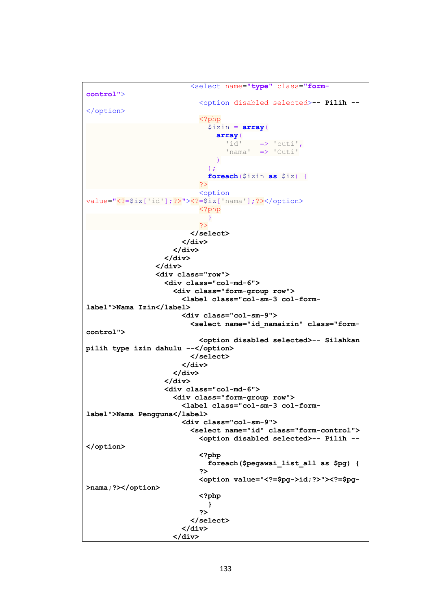```
 <select name="type" class="form-
control">
                             <option disabled selected>-- Pilih --
</option>
                             <?php
                               $izin = array( array(
                                   'id' => 'cuti',
                                   'nama' => 'Cuti'
) and the contract of \mathcal{L} and \mathcal{L}\left( \begin{array}{c} 1 \\ 2 \end{array} \right);
                               foreach($izin as $iz) {
 ?>
                            <option
value="<?=$iz['id'];?>"><?=$iz['nama'];?></option>
                              <?php
 }
 ?>
                           </select>
                         </div>
                       </div>
                     </div>
                  </div>
                  <div class="row">
                     <div class="col-md-6">
                       <div class="form-group row">
                         <label class="col-sm-3 col-form-
label">Nama Izin</label>
                         <div class="col-sm-9">
                           <select name="id_namaizin" class="form-
control">
                             <option disabled selected>-- Silahkan 
pilih type izin dahulu --</option>
                           </select>
                         </div>
                       </div>
                     </div>
                    <div class="col-md-6">
                       <div class="form-group row">
                         <label class="col-sm-3 col-form-
label">Nama Pengguna</label>
                         <div class="col-sm-9">
                           <select name="id" class="form-control">
                             <option disabled selected>-- Pilih --
</option>
                             <?php
                               foreach($pegawai_list_all as $pg) {
2><br>2010年11月11日 - 10月11日 - 11月11日 - 11月11日 - 11月11日 - 11月11日 - 11月11日 - 11月11日 - 11月
                            <option value="<?=$pg->id;?>"><?=$pg-
>nama;?></option>
                             <?php
 }
2><br>2010年11月11日 - 10月11日 - 11月11日 - 11月11日 - 11月11日 - 11月11日 - 11月11日 - 11月11日 - 11月
                           </select>
                         </div>
                       </div>
```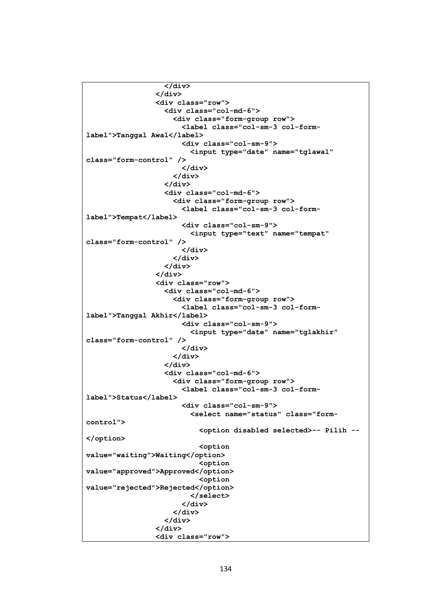```
 </div>
                  </div>
                  <div class="row">
                    <div class="col-md-6">
                      <div class="form-group row">
                        <label class="col-sm-3 col-form-
label">Tanggal Awal</label>
                        <div class="col-sm-9">
                          <input type="date" name="tglawal" 
class="form-control" />
                        </div>
                      </div>
                    </div>
                   <div class="col-md-6">
                      <div class="form-group row">
                        <label class="col-sm-3 col-form-
label">Tempat</label>
                        <div class="col-sm-9">
                          <input type="text" name="tempat" 
class="form-control" />
                        </div>
                      </div>
                    </div>
                  </div>
                  <div class="row">
                    <div class="col-md-6">
                      <div class="form-group row">
                        <label class="col-sm-3 col-form-
label">Tanggal Akhir</label>
                        <div class="col-sm-9">
                          <input type="date" name="tglakhir" 
class="form-control" />
                        </div>
                      </div>
                    </div>
                   <div class="col-md-6">
                      <div class="form-group row">
                        <label class="col-sm-3 col-form-
label">Status</label>
                        <div class="col-sm-9">
                          <select name="status" class="form-
control">
                            <option disabled selected>-- Pilih --
</option>
                            <option 
value="waiting">Waiting</option>
                             <option 
value="approved">Approved</option>
                             <option 
value="rejected">Rejected</option>
                          </select>
                        </div>
                      </div>
                    </div>
                  </div>
                  <div class="row">
```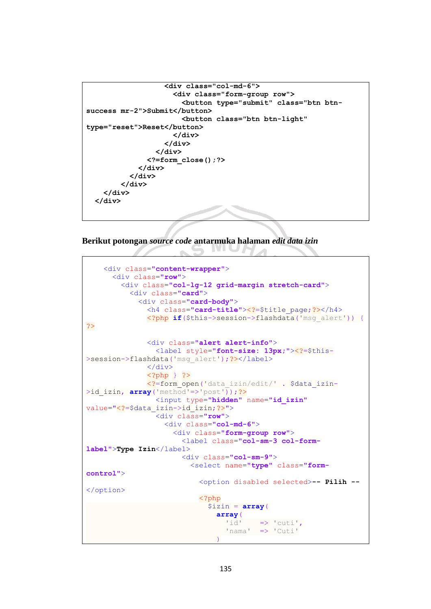```
 <div class="col-md-6">
                      <div class="form-group row">
                         <button type="submit" class="btn btn-
success mr-2">Submit</button>
                         <button class="btn btn-light" 
type="reset">Reset</button>
                      </div>
                    </div>
                  </div>
                <?=form_close();?>
              </div>
           </div>
         </div>
     </div>
   </div>
```
## **Berikut potongan** *source code* **antarmuka halaman** *edit data izin*

 $\sim$ 

```
 <div class="content-wrapper">
       <div class="row">
         <div class="col-lg-12 grid-margin stretch-card">
           <div class="card">
             <div class="card-body">
               <h4 class="card-title"><?=$title_page;?></h4>
               <?php if($this->session->flashdata('msg_alert')) {
?>
               <div class="alert alert-info">
                  <label style="font-size: 13px;"><?=$this-
>session->flashdata('msg_alert');?></label>
               </div>
               <?php } ?>
               <?=form_open('data_izin/edit/' . $data_izin-
\frac{1}{2}id izin, array('method'=>'post'));?>
                  <input type="hidden" name="id_izin"
value="<?=$data_izin->id_izin;?>">
                  <div class="row">
                    <div class="col-md-6">
                      <div class="form-group row">
                        <label class="col-sm-3 col-form-
label">Type Izin</label>
                        <div class="col-sm-9">
                          <select name="type" class="form-
control">
                            <option disabled selected>-- Pilih --
</option>
                            <?php
                              $izin = array(
                                array(
                                  'id' \Rightarrow 'cuti',
                                   'nama' => 'Cuti'
\overline{\phantom{a}}
```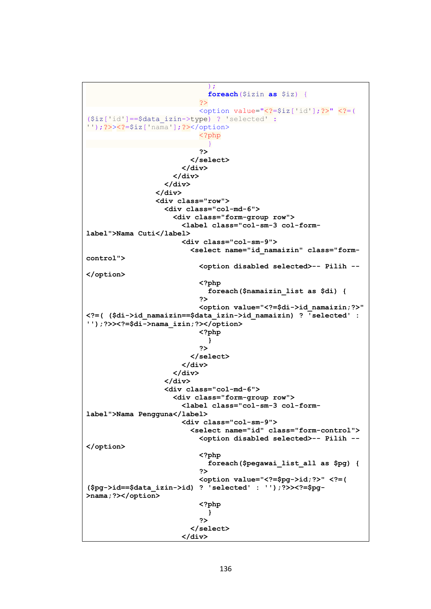```
\left( \begin{array}{c} 1 \\ 2 \end{array} \right);
                                    foreach($izin as $iz) {
?> and an anti-service of the service of the service of the service of the service of the service of the service
                                  <option value="<?=$iz['id'];?>" <?=(
($iz['id']==$data_izin->type) ? 'selected' :
'');?>><?=$iz['nama'];?></option>
                                   <?php
 }
2><br>2010年11月11日 - 10月11日 - 11月11日 - 11月11日 - 11月11日 - 11月11日 - 11月11日 - 11月11日 - 11月
                                </select>
                             </div>
                          </div>
                        </div>
                     </div>
                     <div class="row">
                        <div class="col-md-6">
                           <div class="form-group row">
                             <label class="col-sm-3 col-form-
label">Nama Cuti</label>
                             <div class="col-sm-9">
                                <select name="id_namaizin" class="form-
control">
                                  <option disabled selected>-- Pilih --
</option>
                                  <?php
                                     foreach($namaizin_list as $di) {
2><br>2010年11月11日 - 10月11日 - 11月11日 - 11月11日 - 11月11日 - 11月11日 - 11月11日 - 11月11日 - 11月
                                 <option value="<?=$di->id_namaizin;?>" 
<?=( ($di->id_namaizin==$data_izin->id_namaizin) ? 'selected' : 
'');?>><?=$di->nama_izin;?></option>
                                  <?php
 }
2><br>2010年11月11日 - 10月11日 - 11月11日 - 11月11日 - 11月11日 - 11月11日 - 11月11日 - 11月11日 - 11月
                                </select>
                             </div>
                          </div>
                        </div>
                       <div class="col-md-6">
                          <div class="form-group row">
                             <label class="col-sm-3 col-form-
label">Nama Pengguna</label>
                             <div class="col-sm-9">
                                <select name="id" class="form-control">
                                  <option disabled selected>-- Pilih --
</option>
                                  <?php
                                     foreach($pegawai_list_all as $pg) {
2><br>2010年11月11日 - 10月11日 - 11月11日 - 11月11日 - 11月11日 - 11月11日 - 11月11日 - 11月11日 - 11月
                                  <option value="<?=$pg->id;?>" <?=( 
($pg->id==$data_izin->id) ? 'selected' : '');?>><?=$pg-
>nama;?></option>
                                  <?php
 }
2><br>2010年11月11日 - 10月11日 - 11月11日 - 11月11日 - 11月11日 - 11月11日 - 11月11日 - 11月11日 - 11月
                                </select>
                             </div>
```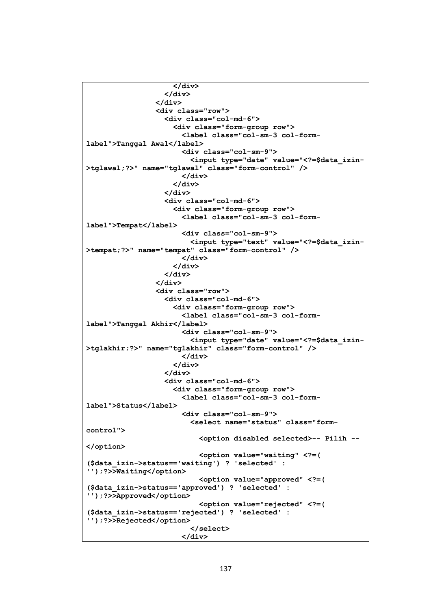```
 </div>
                    </div>
                  </div>
                  <div class="row">
                    <div class="col-md-6">
                      <div class="form-group row">
                        <label class="col-sm-3 col-form-
label">Tanggal Awal</label>
                        <div class="col-sm-9">
                          <input type="date" value="<?=$data_izin-
>tglawal;?>" name="tglawal" class="form-control" />
                        </div>
                      </div>
                    </div>
                   <div class="col-md-6">
                      <div class="form-group row">
                        <label class="col-sm-3 col-form-
label">Tempat</label>
                        <div class="col-sm-9">
                          <input type="text" value="<?=$data_izin-
>tempat;?>" name="tempat" class="form-control" />
                        </div>
                      </div>
                    </div>
                  </div>
                  <div class="row">
                    <div class="col-md-6">
                      <div class="form-group row">
                        <label class="col-sm-3 col-form-
label">Tanggal Akhir</label>
                        <div class="col-sm-9">
                          <input type="date" value="<?=$data_izin-
>tglakhir;?>" name="tglakhir" class="form-control" />
                        </div>
                      </div>
                    </div>
                    <div class="col-md-6">
                      <div class="form-group row">
                        <label class="col-sm-3 col-form-
label">Status</label>
                        <div class="col-sm-9">
                          <select name="status" class="form-
control">
                            <option disabled selected>-- Pilih --
</option>
                            <option value="waiting" <?=( 
($data_izin->status=='waiting') ? 'selected' : 
'');?>>Waiting</option>
                            <option value="approved" <?=( 
($data_izin->status=='approved') ? 'selected' : 
'');?>>Approved</option>
                            <option value="rejected" <?=( 
($data_izin->status=='rejected') ? 'selected' : 
'');?>>Rejected</option>
                          </select>
                        </div>
```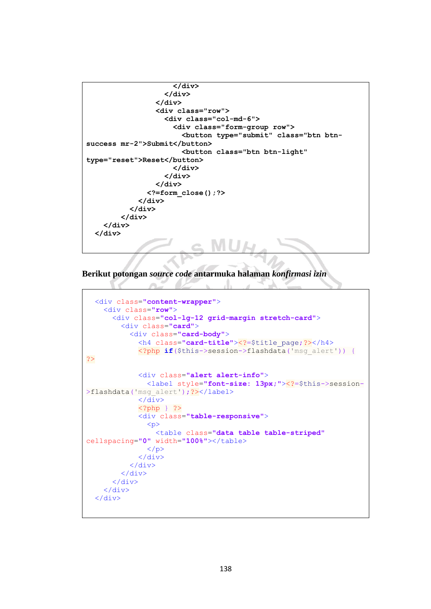```
 </div>
                    </div>
                  </div>
                  <div class="row">
                    <div class="col-md-6">
                       <div class="form-group row">
                         <button type="submit" class="btn btn-
success mr-2">Submit</button>
                         <button class="btn btn-light" 
type="reset">Reset</button>
                      </div>
                    </div>
                  </div>
                <?=form_close();?>
              </div>
            </div>
         </div>
     </div>
   </div>
```
**Berikut potongan** *source code* **antarmuka halaman** *konfirmasi izin*

 $\curvearrowright$ 

```
 <div class="content-wrapper">
     <div class="row">
       <div class="col-lg-12 grid-margin stretch-card">
         <div class="card">
           <div class="card-body">
             <h4 class="card-title"><?=$title_page;?></h4>
             <?php if($this->session->flashdata('msg_alert')) {
?>
             <div class="alert alert-info">
                <label style="font-size: 13px;"><?=$this->session-
>flashdata('msq alert'); ?></label>
             </div>
             <?php } ?>
             <div class="table-responsive">
               p <table class="data table table-striped"
cellspacing="0" width="100%"></table>
              \langle p \rangle </div>
           </div>
         </div>
       </div>
     </div>
   </div>
```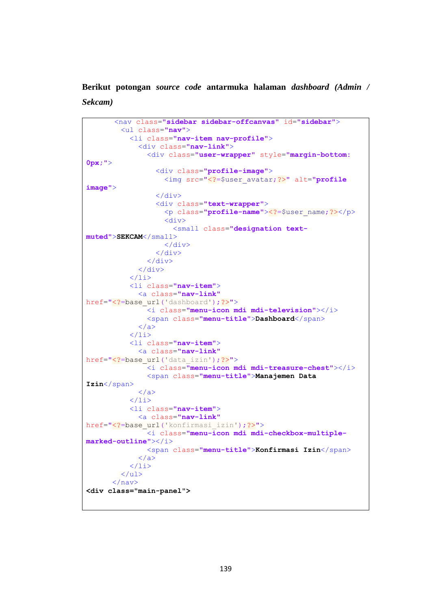**Berikut potongan** *source code* **antarmuka halaman** *dashboard (Admin / Sekcam)*

```
 <nav class="sidebar sidebar-offcanvas" id="sidebar">
          <ul class="nav">
            <li class="nav-item nav-profile">
              <div class="nav-link">
                 <div class="user-wrapper" style="margin-bottom: 
0px;">
                   <div class="profile-image">
                     <img src="<?=$user_avatar;?>" alt="profile 
image">
                  \langle/div>
                   <div class="text-wrapper">
                     <p class="profile-name"><?=$user_name;?></p>
                    \langlediv>
                       <small class="designation text-
muted">SEKCAM</small>
                    \langle/div>
                   </div>
               \langle/div>
             \langle/div>
           \frac{2}{11} <li class="nav-item">
              <a class="nav-link"
href="<?=base_url('dashboard');?>">
                <i class="menu-icon mdi mdi-television"></i>
                <span class="menu-title">Dashboard</span>
             \langlea>
           \langle/li>
            <li class="nav-item">
              <a class="nav-link"
href="<?=base_url('data_izin');?>">
                <i class="menu-icon mdi mdi-treasure-chest"></i>
                <span class="menu-title">Manajemen Data 
Izin</span>
             \langlea>
           \frac{2}{11} <li class="nav-item">
              <a class="nav-link"
href="<?=base_url('konfirmasi_izin');?>">
                <i class="menu-icon mdi mdi-checkbox-multiple-
marked-outline"></i>
                <span class="menu-title">Konfirmasi Izin</span>
             \langle/a>
           \langle/li>
          </ul>
       \langle/nav>
<div class="main-panel">
```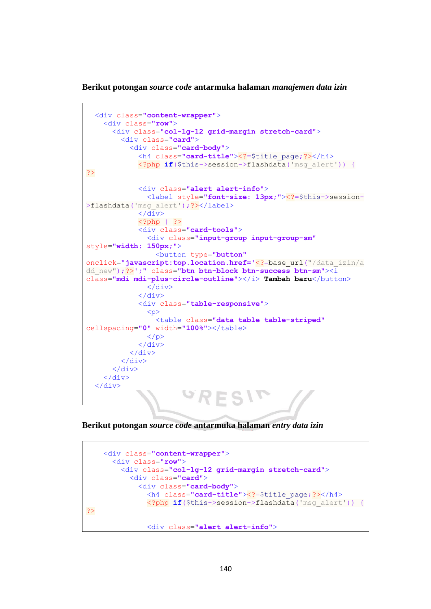**Berikut potongan** *source code* **antarmuka halaman** *manajemen data izin*

```
 <div class="content-wrapper">
     <div class="row">
       <div class="col-lg-12 grid-margin stretch-card">
         <div class="card">
           <div class="card-body">
             <h4 class="card-title"><?=$title_page;?></h4>
             <?php if($this->session->flashdata('msg_alert')) {
?>
             <div class="alert alert-info">
               <label style="font-size: 13px;"><?=$this->session-
>flashdata('msg_alert');?></label>
              </div>
             <?php } ?>
             <div class="card-tools">
               <div class="input-group input-group-sm"
style="width: 150px;">
                  <button type="button"
onclick="javascript:top.location.href='<?=base_url("/data_izin/a
dd_new");?>';" class="btn btn-block btn-success btn-sm"><i
class="mdi mdi-plus-circle-outline"></i> Tambah baru</button>
                </div>
             </div>
             <div class="table-responsive">
                <p>
                  <table class="data table table-striped"
cellspacing="0" width="100%"></table>
              \langle/p>
             </div>
           </div>
         </div>
       </div>
     </div>
   </div>
```
**Berikut potongan** *source code* **antarmuka halaman** *entry data izin*

```
 <div class="content-wrapper">
       <div class="row">
         <div class="col-lg-12 grid-margin stretch-card">
           <div class="card">
             <div class="card-body">
               <h4 class="card-title"><?=$title_page;?></h4>
               <?php if($this->session->flashdata('msg_alert')) {
?>
               <div class="alert alert-info">
```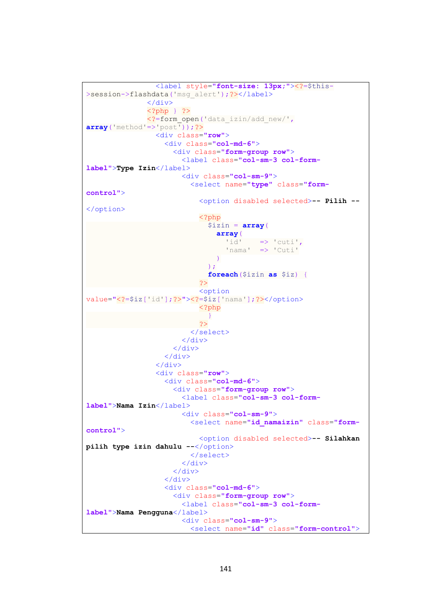```
 <label style="font-size: 13px;"><?=$this-
>session->flashdata('msg_alert');?></label>
                </div>
                <?php } ?>
                <?=form_open('data_izin/add_new/',
array('method'=>'post'));?>
                  <div class="row">
                     <div class="col-md-6">
                       <div class="form-group row">
                         <label class="col-sm-3 col-form-
label">Type Izin</label>
                         <div class="col-sm-9">
                           <select name="type" class="form-
control">
                             <option disabled selected>-- Pilih --
</option>
                             <?php
                                $izin = array(
                                  array(
                                   'id' \Rightarrow 'cuti',
                                   'nama' => 'Cuti'
\overline{\phantom{a}}\left( \begin{array}{c} 0 & 1 \\ 0 & 1 \end{array} \right)foreach($izin as $iz) {
?> and an anti-service of the service of the service of the service of the service of the service of the service
                             <option
value="<?=$iz['id'];?>"><?=$iz['nama'];?></option>
                              <?php
 }
 ?>
                           </select>
                         </div>
                       </div>
                     </div>
                  </div>
                  <div class="row">
                     <div class="col-md-6">
                       <div class="form-group row">
                         <label class="col-sm-3 col-form-
label">Nama Izin</label>
                         <div class="col-sm-9">
                           <select name="id_namaizin" class="form-
control">
                             <option disabled selected>-- Silahkan 
pilih type izin dahulu --</option>
                           </select>
                         </div>
                       </div>
                     </div>
                    <div class="col-md-6">
                       <div class="form-group row">
                         <label class="col-sm-3 col-form-
label">Nama Pengguna</label>
                         <div class="col-sm-9">
                           <select name="id" class="form-control">
```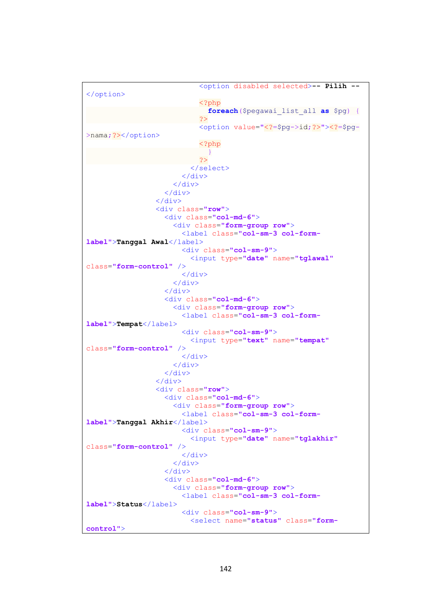```
 <option disabled selected>-- Pilih --
</option>
                                <?php
                                  foreach($pegawai_list_all as $pg) {
?> and an anti-service of the service of the service of the service of the service of the service of the service
                               <option value="<?=$pg->id;?>"><?=$pg-
>nama; ?></option>
                                <?php
 }
?> and an anti-service of the service of the service of the service of the service of the service of the service
                              </select>
                           </div>
                         </div>
                      </div>
                    </div>
                    <div class="row">
                      <div class="col-md-6">
                         <div class="form-group row">
                           <label class="col-sm-3 col-form-
label">Tanggal Awal</label>
                           <div class="col-sm-9">
                             <input type="date" name="tglawal"
class="form-control" />
                           </div>
                         </div>
                      </div>
                     <div class="col-md-6">
                         <div class="form-group row">
                           <label class="col-sm-3 col-form-
label">Tempat</label>
                           <div class="col-sm-9">
                             <input type="text" name="tempat"
class="form-control" />
                           </div>
                        \langle/div>
                      </div>
                    </div>
                    <div class="row">
                      <div class="col-md-6">
                         <div class="form-group row">
                           <label class="col-sm-3 col-form-
label">Tanggal Akhir</label>
                           <div class="col-sm-9">
                             <input type="date" name="tglakhir"
class="form-control" />
                           </div>
                         </div>
                      </div>
                     <div class="col-md-6">
                         <div class="form-group row">
                           <label class="col-sm-3 col-form-
label">Status</label>
                           <div class="col-sm-9">
                             <select name="status" class="form-
control">
```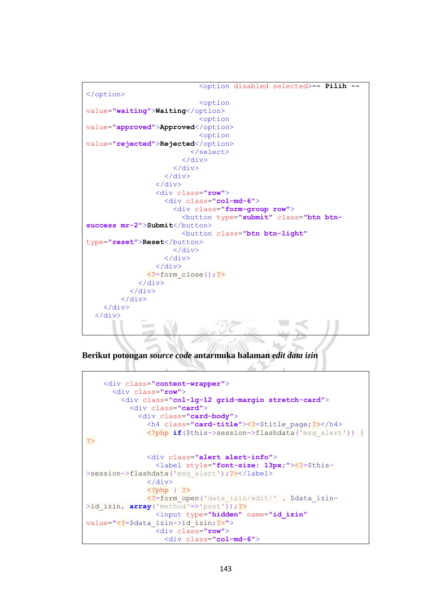```
 <option disabled selected>-- Pilih --
</option>
                              <option
value="waiting">Waiting</option>
                              <option
value="approved">Approved</option>
                              <option
value="rejected">Rejected</option>
                            </select>
                        \langle/div>
                       </div>
                     </div>
                   </div>
                   <div class="row">
                     <div class="col-md-6">
                       <div class="form-group row">
                         <button type="submit" class="btn btn-
success mr-2">Submit</button>
                         <button class="btn btn-light"
type="reset">Reset</button>
                      \langle/div>
                     </div>
                   </div>
                <?=form_close();?>
             \langle/div>
            </div>
          </div>
     </div>
   </div>
```
**Berikut potongan** *source code* **antarmuka halaman** *edit data izin*

```
 <div class="content-wrapper">
       <div class="row">
         <div class="col-lg-12 grid-margin stretch-card">
           <div class="card">
             <div class="card-body">
               <h4 class="card-title"><?=$title_page;?></h4>
               <?php if($this->session->flashdata('msg_alert')) {
?>
               <div class="alert alert-info">
                 <label style="font-size: 13px;"><?=$this-
>session->flashdata('msg_alert');?></label>
               </div>
               <?php } ?>
               <?=form_open('data_izin/edit/' . $data_izin-
>id_izin, array('method'=>'post'));?>
                 <input type="hidden" name="id_izin"
value="<?=$data_izin->id_izin;?>">
                 <div class="row">
                   <div class="col-md-6">
```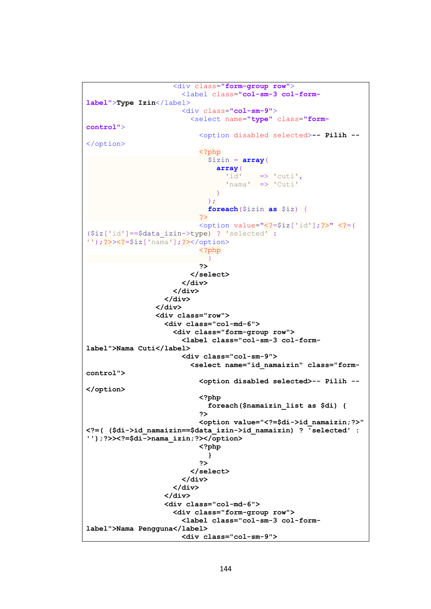```
 <div class="form-group row">
                          <label class="col-sm-3 col-form-
label">Type Izin</label>
                          <div class="col-sm-9">
                            <select name="type" class="form-
control">
                              <option disabled selected>-- Pilih --
</option>
                              <?php
                                $izin = array( array(
                                    'id' \Rightarrow 'cuti',
                                    'nama' => 'Cuti'
\overline{\phantom{a}}\left( \begin{array}{c} 1 \\ 2 \end{array} \right);
                                foreach($izin as $iz) {
 ?>
                             <option value="<?=$iz['id'];?>" <?=(
($iz['id']==$data_izin->type) ? 'selected' :
'');?>><?=$iz['nama'];?></option>
                              <?php
 }
2><br>2010年11月11日 - 10月11日 - 11月11日 - 11月11日 - 11月11日 - 11月11日 - 11月11日 - 11月11日 - 11月
                            </select>
                          </div>
                       </div>
                     </div>
                   </div>
                   <div class="row">
                     <div class="col-md-6">
                       <div class="form-group row">
                          <label class="col-sm-3 col-form-
label">Nama Cuti</label>
                          <div class="col-sm-9">
                            <select name="id_namaizin" class="form-
control">
                              <option disabled selected>-- Pilih --
</option>
                              <?php
                                foreach($namaizin_list as $di) {
2><br>2010年11月11日 - 10月11日 - 11月11日 - 11月11日 - 11月11日 - 11月11日 - 11月11日 - 11月11日 - 11月
                             <option value="<?=$di->id_namaizin;?>" 
<?=( ($di->id_namaizin==$data_izin->id_namaizin) ? 'selected' : 
'');?>><?=$di->nama_izin;?></option>
                              <?php
 }
2><br>2010年11月11日 - 10月11日 - 11月11日 - 11月11日 - 11月11日 - 11月11日 - 11月11日 - 11月11日 - 11月
                            </select>
                          </div>
                       </div>
                     </div>
                    <div class="col-md-6">
                       <div class="form-group row">
                          <label class="col-sm-3 col-form-
label">Nama Pengguna</label>
                          <div class="col-sm-9">
```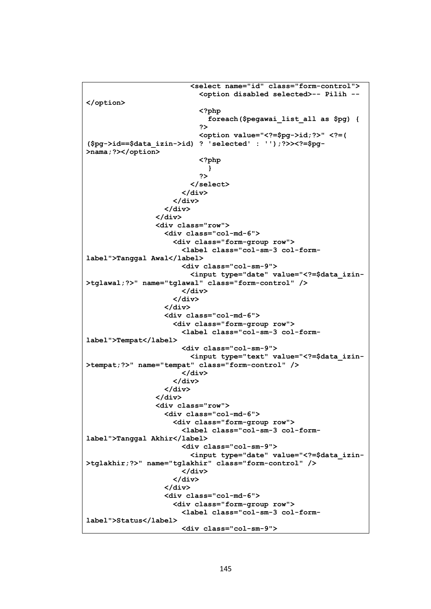```
 <select name="id" class="form-control">
                              <option disabled selected>-- Pilih --
</option>
                              <?php
                                foreach($pegawai_list_all as $pg) {
2><br>2010年11月11日 - 10月11日 - 11月11日 - 11月11日 - 11月11日 - 11月11日 - 11月11日 - 11月11日 - 11月
                             <option value="<?=$pg->id;?>" <?=( 
($pg->id==$data_izin->id) ? 'selected' : '');?>><?=$pg-
>nama;?></option>
                              <?php
 }
2><br>2010年11月11日 - 10月11日 - 11月11日 - 11月11日 - 11月11日 - 11月11日 - 11月11日 - 11月11日 - 11月
                            </select>
                         </div>
                       </div>
                     </div>
                   </div>
                   <div class="row">
                     <div class="col-md-6">
                       <div class="form-group row">
                         <label class="col-sm-3 col-form-
label">Tanggal Awal</label>
                         <div class="col-sm-9">
                            <input type="date" value="<?=$data_izin-
>tglawal;?>" name="tglawal" class="form-control" />
                         </div>
                       </div>
                     </div>
                    <div class="col-md-6">
                       <div class="form-group row">
                         <label class="col-sm-3 col-form-
label">Tempat</label>
                         <div class="col-sm-9">
                            <input type="text" value="<?=$data_izin-
>tempat;?>" name="tempat" class="form-control" />
                         </div>
                       </div>
                     </div>
                   </div>
                   <div class="row">
                     <div class="col-md-6">
                       <div class="form-group row">
                         <label class="col-sm-3 col-form-
label">Tanggal Akhir</label>
                         <div class="col-sm-9">
                           <input type="date" value="<?=$data_izin-
>tglakhir;?>" name="tglakhir" class="form-control" />
                         </div>
                       </div>
                     </div>
                     <div class="col-md-6">
                       <div class="form-group row">
                         <label class="col-sm-3 col-form-
label">Status</label>
                         <div class="col-sm-9">
```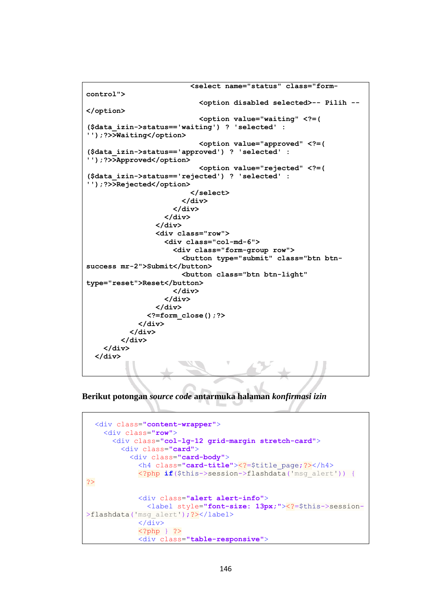```
 <select name="status" class="form-
control">
                             <option disabled selected>-- Pilih --
</option>
                             <option value="waiting" <?=( 
($data_izin->status=='waiting') ? 'selected' : 
'');?>>Waiting</option>
                            <option value="approved" <?=( 
($data_izin->status=='approved') ? 'selected' : 
'');?>>Approved</option>
                             <option value="rejected" <?=( 
($data_izin->status=='rejected') ? 'selected' : 
'');?>>Rejected</option>
                           </select>
                        </div>
                      </div>
                    </div>
                  </div>
                  <div class="row">
                    <div class="col-md-6">
                      <div class="form-group row">
                        <button type="submit" class="btn btn-
success mr-2">Submit</button>
                        <button class="btn btn-light" 
type="reset">Reset</button>
                      </div>
                    </div>
                  </div>
                <?=form_close();?>
             </div>
           </div>
         </div>
     </div>
   </div>
```
**Berikut potongan** *source code* **antarmuka halaman** *konfirmasi izin*

```
 <div class="content-wrapper">
     <div class="row">
       <div class="col-lg-12 grid-margin stretch-card">
         <div class="card">
           <div class="card-body">
             <h4 class="card-title"><?=$title_page;?></h4>
             <?php if($this->session->flashdata('msg_alert')) {
?>
             <div class="alert alert-info">
               <label style="font-size: 13px;"><?=$this->session-
>flashdata('msq alert'); ?></label>
            \langle/div>
             <?php } ?>
             <div class="table-responsive">
```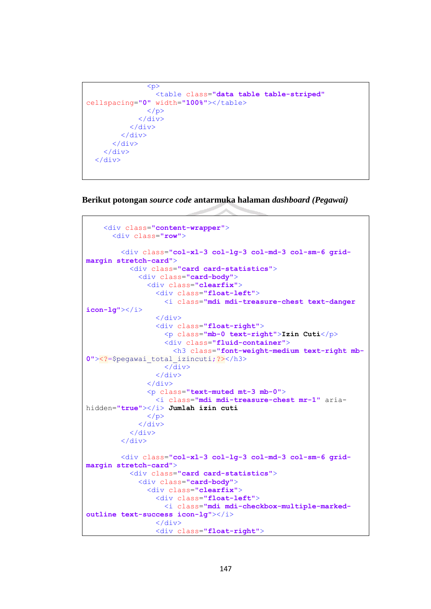```
p <table class="data table table-striped"
cellspacing="0" width="100%"></table>
                \langle/p>
               </div>
             </div>
         \langle div>
       \langle/div>
     </div>
   </div>
```
**Berikut potongan** *source code* **antarmuka halaman** *dashboard (Pegawai)*

```
 <div class="content-wrapper">
       <div class="row">
         <div class="col-xl-3 col-lg-3 col-md-3 col-sm-6 grid-
margin stretch-card">
           <div class="card card-statistics">
              <div class="card-body">
                <div class="clearfix">
                  <div class="float-left">
                    <i class="mdi mdi-treasure-chest text-danger 
icon-lg"></i>
                  </div>
                  <div class="float-right">
                    <p class="mb-0 text-right">Izin Cuti</p>
                    <div class="fluid-container">
                      <h3 class="font-weight-medium text-right mb-
0"><?=$pegawai_total_izincuti;?></h3>
                    </div>
                  </div>
                </div>
                <p class="text-muted mt-3 mb-0">
                  <i class="mdi mdi-treasure-chest mr-1" aria-
hidden="true"></i> Jumlah izin cuti
               \langle/p>
              </div>
           </div>
         </div>
         <div class="col-xl-3 col-lg-3 col-md-3 col-sm-6 grid-
margin stretch-card">
           <div class="card card-statistics">
              <div class="card-body">
                <div class="clearfix">
                  <div class="float-left">
                    <i class="mdi mdi-checkbox-multiple-marked-
outline text-success icon-lg"></i>
                  </div>
                  <div class="float-right">
```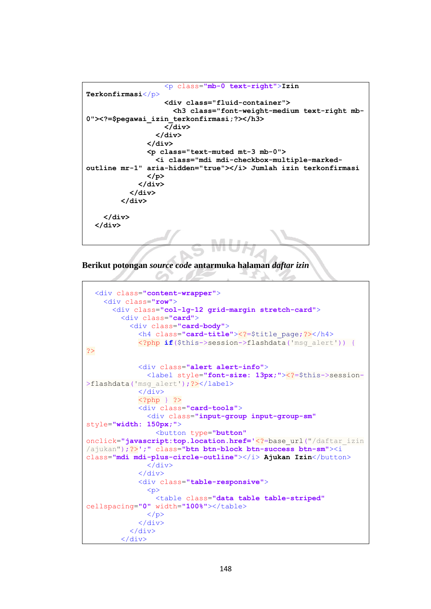```
 <p class="mb-0 text-right">Izin 
Terkonfirmasi</p>
                    <div class="fluid-container">
                      <h3 class="font-weight-medium text-right mb-
0"><?=$pegawai_izin_terkonfirmasi;?></h3>
                    </div>
                  </div>
                </div>
                <p class="text-muted mt-3 mb-0">
                  <i class="mdi mdi-checkbox-multiple-marked-
outline mr-1" aria-hidden="true"></i> Jumlah izin terkonfirmasi
                </p>
             </div>
           </div>
         </div>
     </div>
   </div>
```
**Berikut potongan** *source code* **antarmuka halaman** *daftar izin*

```
 <div class="content-wrapper">
     <div class="row">
       <div class="col-lg-12 grid-margin stretch-card">
         <div class="card">
           <div class="card-body">
             <h4 class="card-title"><?=$title_page;?></h4>
             <?php if($this->session->flashdata('msg_alert')) {
?>
             <div class="alert alert-info">
               <label style="font-size: 13px;"><?=$this->session-
>flashdata('msq alert'); ?></label>
            \langle/div>
             <?php } ?>
             <div class="card-tools">
                <div class="input-group input-group-sm"
style="width: 150px;">
                  <button type="button"
onclick="javascript:top.location.href='<?=base_url("/daftar_izin
/ajukan");?>';" class="btn btn-block btn-success btn-sm"><i
class="mdi mdi-plus-circle-outline"></i> Ajukan Izin</button>
               \langle/div>
             </div>
             <div class="table-responsive">
               p > <table class="data table table-striped"
cellspacing="0" width="100%"></table>
               \langle/p>
             </div>
           </div>
         </div>
```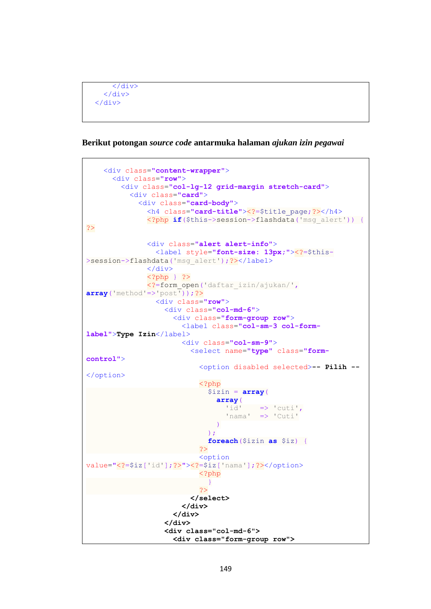```
 </div>
   </div>
 </div>
```
## **Berikut potongan** *source code* **antarmuka halaman** *ajukan izin pegawai*

```
 <div class="content-wrapper">
        <div class="row">
          <div class="col-lg-12 grid-margin stretch-card">
             <div class="card">
               <div class="card-body">
                 <h4 class="card-title"><?=$title_page;?></h4>
                 <?php if($this->session->flashdata('msg_alert')) {
?>
                 <div class="alert alert-info">
                    <label style="font-size: 13px;"><?=$this-
>session->flashdata('msg_alert');?></label>
                 </div>
                 <?php } ?>
                 <?=form_open('daftar_izin/ajukan/',
array('method'=>'post'));?>
                    <div class="row">
                      <div class="col-md-6">
                         <div class="form-group row">
                           <label class="col-sm-3 col-form-
label">Type Izin</label>
                           <div class="col-sm-9">
                             <select name="type" class="form-
control">
                                <option disabled selected>-- Pilih --
</option>
                                <?php
                                  $izin = array(
                                     array(
                                       'id' \Rightarrow 'cuti',
                                       'nama' => 'Cuti'
\overline{\phantom{a}}\left( \begin{array}{c} 0 & 1 \\ 0 & 1 \end{array} \right)foreach($izin as $iz) {
?> and an anti-service of the service of the service of the service of the service of the service of the service
                               <option
value="<?=$iz['id'];?>"><?=$iz['nama'];?></option>
                                <?php
 }
?> and an anti-service of the service of the service of the service of the service of the service of the service
                              </select>
                           </div>
                         </div>
                      </div>
                     <div class="col-md-6">
                         <div class="form-group row">
```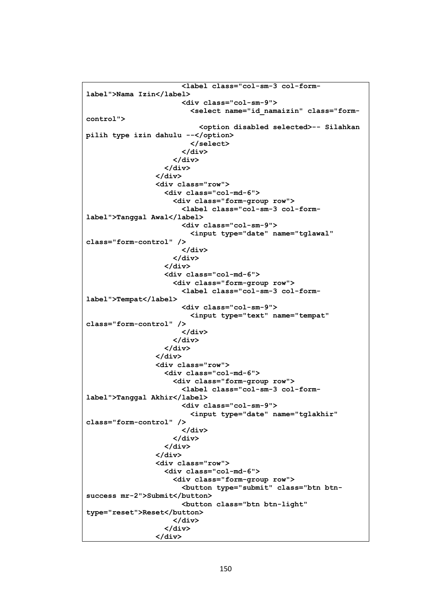```
 <label class="col-sm-3 col-form-
label">Nama Izin</label>
                        <div class="col-sm-9">
                          <select name="id_namaizin" class="form-
control">
                            <option disabled selected>-- Silahkan 
pilih type izin dahulu --</option>
                          </select>
                        </div>
                      </div>
                    </div>
                  </div>
                  <div class="row">
                    <div class="col-md-6">
                      <div class="form-group row">
                        <label class="col-sm-3 col-form-
label">Tanggal Awal</label>
                        <div class="col-sm-9">
                          <input type="date" name="tglawal" 
class="form-control" />
                        </div>
                      </div>
                    </div>
                   <div class="col-md-6">
                      <div class="form-group row">
                        <label class="col-sm-3 col-form-
label">Tempat</label>
                        <div class="col-sm-9">
                          <input type="text" name="tempat" 
class="form-control" />
                         </div>
                      </div>
                    </div>
                  </div>
                  <div class="row">
                    <div class="col-md-6">
                      <div class="form-group row">
                        <label class="col-sm-3 col-form-
label">Tanggal Akhir</label>
                        <div class="col-sm-9">
                          <input type="date" name="tglakhir" 
class="form-control" />
                        </div>
                      </div>
                    </div>
                  </div>
                  <div class="row">
                    <div class="col-md-6">
                      <div class="form-group row">
                        <button type="submit" class="btn btn-
success mr-2">Submit</button>
                        <button class="btn btn-light" 
type="reset">Reset</button>
                      </div>
                    </div>
                  </div>
```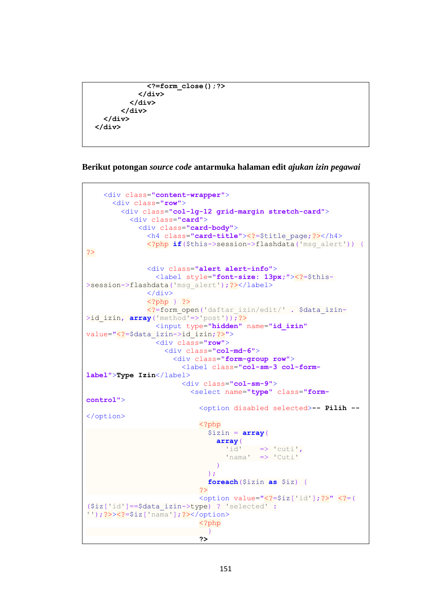```
 <?=form_close();?>
            </div>
          </div>
        </div>
   </div>
 </div>
```

```
Berikut potongan source code antarmuka halaman edit ajukan izin pegawai
```

```
 <div class="content-wrapper">
        <div class="row">
          <div class="col-lg-12 grid-margin stretch-card">
            <div class="card">
               <div class="card-body">
                 <h4 class="card-title"><?=$title_page;?></h4>
                 <?php if($this->session->flashdata('msg_alert')) {
?>
                 <div class="alert alert-info">
                   <label style="font-size: 13px;"><?=$this-
>session->flashdata('msg_alert');?></label>
                 </div>
                 <?php } ?>
                 <?=form_open('daftar_izin/edit/' . $data_izin-
>id izin, array('method'=>'post'));?>
                   <input type="hidden" name="id_izin"
value="<?=$data_izin->id_izin;?>">
                   <div class="row">
                      <div class="col-md-6">
                        <div class="form-group row">
                          <label class="col-sm-3 col-form-
label">Type Izin</label>
                          <div class="col-sm-9">
                             <select name="type" class="form-
control">
                               <option disabled selected>-- Pilih --
</option>
                               <?php
                                 $izin = array(
                                    array(
                                     'id' \Rightarrow 'cuti'.
                                     'nama' => 'Cuti'
\overline{\phantom{a}}\left( \begin{array}{c} 0 & 1 \\ 0 & 1 \end{array} \right)foreach($izin as $iz) {
?> and an anti-service of the service of the service of the service of the service of the service of the service
                              <option value="<?=$iz['id'];?>" <?=(
($iz['id']==$data_izin->type) ? 'selected' :
'');?>><?=$iz['nama'];?></option>
                               <?php
 }
2><br>2010年11月11日 - 10月11日 - 11月11日 - 11月11日 - 11月11日 - 11月11日 - 11月11日 - 11月11日 - 11月
```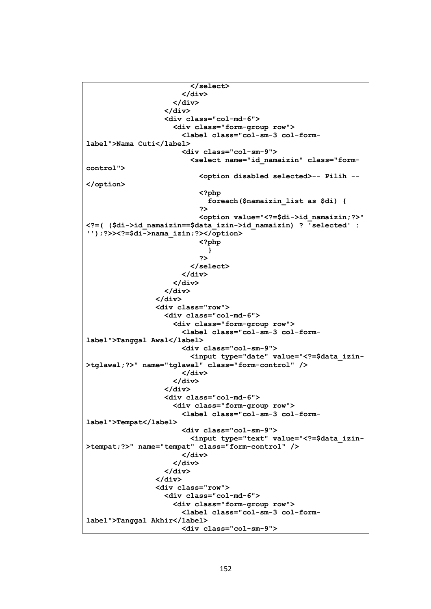```
 </select>
                         </div>
                       </div>
                     </div>
                    <div class="col-md-6">
                       <div class="form-group row">
                          <label class="col-sm-3 col-form-
label">Nama Cuti</label>
                         <div class="col-sm-9">
                            <select name="id_namaizin" class="form-
control">
                              <option disabled selected>-- Pilih --
</option>
                              <?php
                                foreach($namaizin_list as $di) {
2><br>2010年11月11日 - 10月11日 - 11月11日 - 11月11日 - 11月11日 - 11月11日 - 11月11日 - 11月11日 - 11月
                             <option value="<?=$di->id_namaizin;?>" 
<?=( ($di->id_namaizin==$data_izin->id_namaizin) ? 'selected' : 
'');?>><?=$di->nama_izin;?></option>
                              <?php
 }
2><br>2010年11月11日 - 10月11日 - 11月11日 - 11月11日 - 11月11日 - 11月11日 - 11月11日 - 11月11日 - 11月
                            </select>
                         </div>
                       </div>
                     </div>
                   </div>
                   <div class="row">
                     <div class="col-md-6">
                       <div class="form-group row">
                          <label class="col-sm-3 col-form-
label">Tanggal Awal</label>
                         <div class="col-sm-9">
                            <input type="date" value="<?=$data_izin-
>tglawal;?>" name="tglawal" class="form-control" />
                          </div>
                       </div>
                     </div>
                     <div class="col-md-6">
                       <div class="form-group row">
                          <label class="col-sm-3 col-form-
label">Tempat</label>
                         <div class="col-sm-9">
                            <input type="text" value="<?=$data_izin-
>tempat;?>" name="tempat" class="form-control" />
                          </div>
                       </div>
                     </div>
                   </div>
                   <div class="row">
                     <div class="col-md-6">
                       <div class="form-group row">
                          <label class="col-sm-3 col-form-
label">Tanggal Akhir</label>
                         <div class="col-sm-9">
```